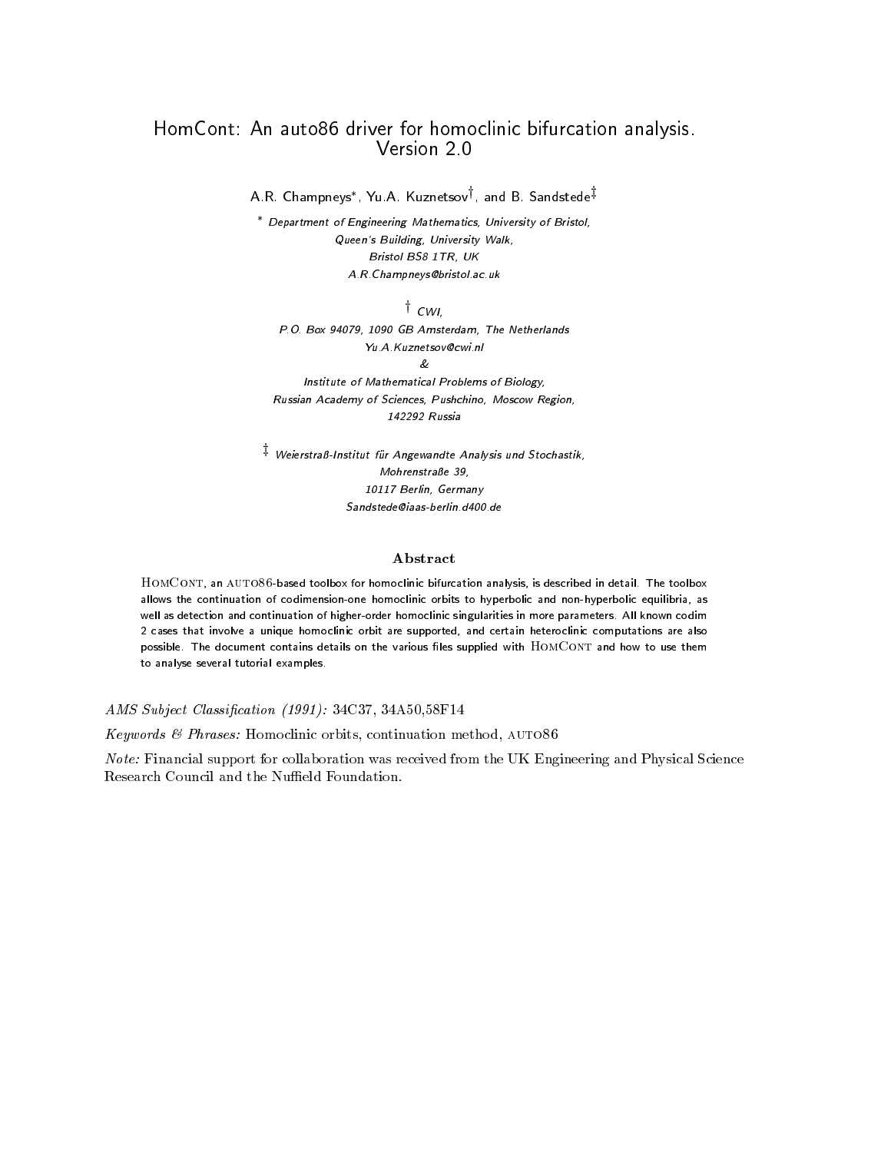### HomCont- An auto driver for homoclinic bifurcation analysis Version 2.0

A.R. Champneys\*, Yu.A. Kuznetsov<sup>†</sup>, and B. Sandstede<sup>‡</sup>

Department of Engineering Mathematics, University of Bristol, queens Building, Suiters, Theory Bristol BS TR- UK A.R. Champneys@bristol.ac.uk

 $^{\dagger}$  cwi,

PO Box - GB Amsterdam- The Netherlands Yu.A.Kuznetsov@cwi.nl

&

Institute of Mathematical Problems of Biology, Russian Academy of Sciences- Pushchino- Moscow Region-142292 Russia

 $^\ddag$  Weierstraß-Institut für Angewandte Analysis und Stochastik, Mohrenstraße 39, Berlin- Germany

#### Abstract

HomCont an auto--based toolbox for homoclinic bifurcation analysis is described in detail The toolbox allows the continuation of codimension-one homoclinic orbits to hyperbolic and non-hyperbolic equilibria as well as detection and continuation of higher-distribution of higher-distribution of higher-distribution of higher-2 cases that involve a unique homoclinic orbit are supported, and certain heteroclinic computations are also possible. The document contains details on the various files supplied with HOMCONT and how to use them to analyse several tutorial examples

AMS Subject Classi-cation -C -AF-

Keywords Phrases Homoclinic orbits continuation method auto-

Note: Financial support for collaboration was received from the UK Engineering and Physical Science Research Council and the Nuffield Foundation.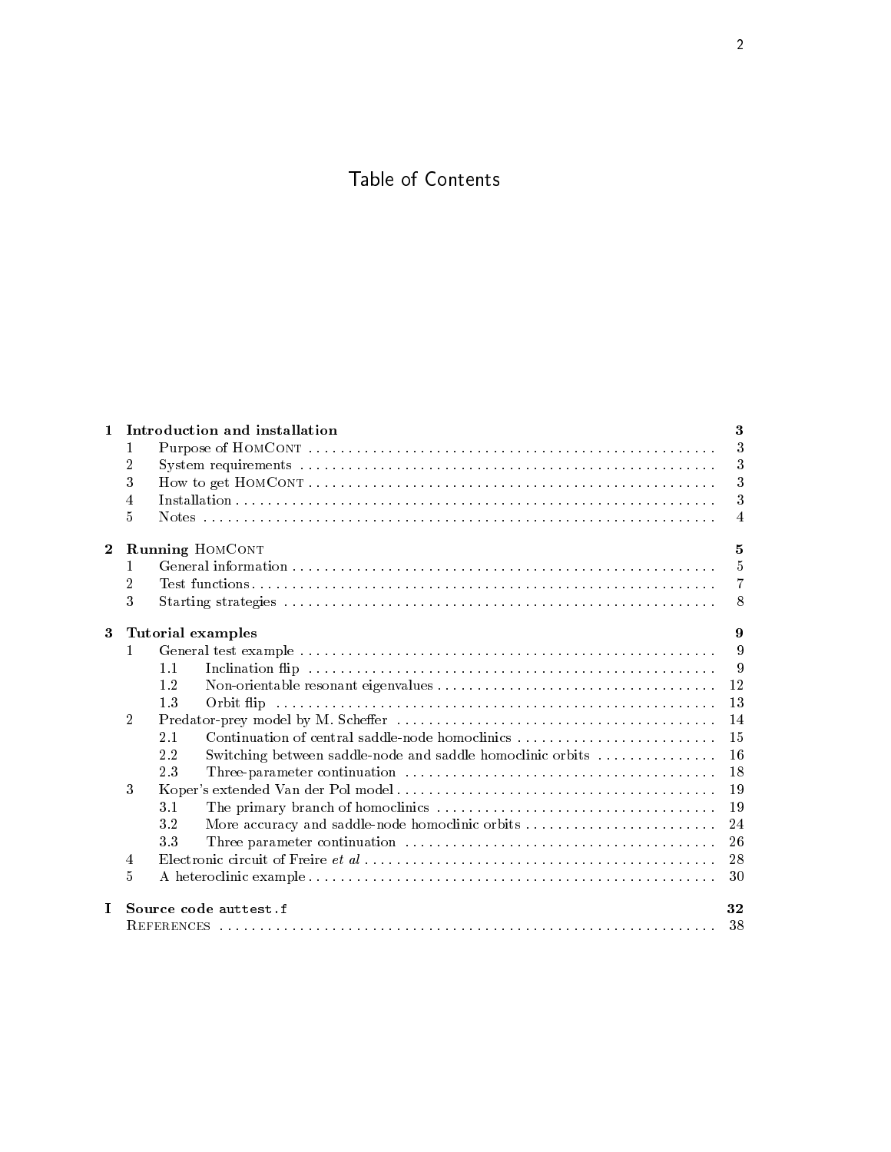## Table of Contents

| $\mathbf{1}$   |                | Introduction and installation                                     | 3  |  |  |  |  |  |
|----------------|----------------|-------------------------------------------------------------------|----|--|--|--|--|--|
|                | 1              |                                                                   | 3  |  |  |  |  |  |
|                | 2              |                                                                   | 3  |  |  |  |  |  |
|                | 3              |                                                                   | 3  |  |  |  |  |  |
|                | 4              |                                                                   | 3  |  |  |  |  |  |
|                | 5              |                                                                   | 4  |  |  |  |  |  |
| $\overline{2}$ |                | <b>Running HOMCONT</b>                                            | 5  |  |  |  |  |  |
|                |                |                                                                   | 5  |  |  |  |  |  |
|                | 2              |                                                                   | 7  |  |  |  |  |  |
|                | 3              |                                                                   | 8  |  |  |  |  |  |
| $\bf{3}$       |                | <b>Tutorial examples</b>                                          | 9  |  |  |  |  |  |
|                |                |                                                                   | 9  |  |  |  |  |  |
|                |                | 1.1                                                               | 9  |  |  |  |  |  |
|                |                | 1.2                                                               | 12 |  |  |  |  |  |
|                |                | 1.3                                                               | 13 |  |  |  |  |  |
|                | $\overline{2}$ |                                                                   | 14 |  |  |  |  |  |
|                |                | Continuation of central saddle-node homoclinics<br>2.1            | 15 |  |  |  |  |  |
|                |                | Switching between saddle-node and saddle homoclinic orbits<br>2.2 | 16 |  |  |  |  |  |
|                |                | 23                                                                | 18 |  |  |  |  |  |
|                | 3              |                                                                   | 19 |  |  |  |  |  |
|                |                | 3.1                                                               | 19 |  |  |  |  |  |
|                |                | 3.2                                                               | 24 |  |  |  |  |  |
|                |                | 33                                                                | 26 |  |  |  |  |  |
|                | 4              |                                                                   | 28 |  |  |  |  |  |
|                | 5              |                                                                   | 30 |  |  |  |  |  |
| $\bf{I}$       |                | Source code auttest.f                                             | 32 |  |  |  |  |  |
|                | 38             |                                                                   |    |  |  |  |  |  |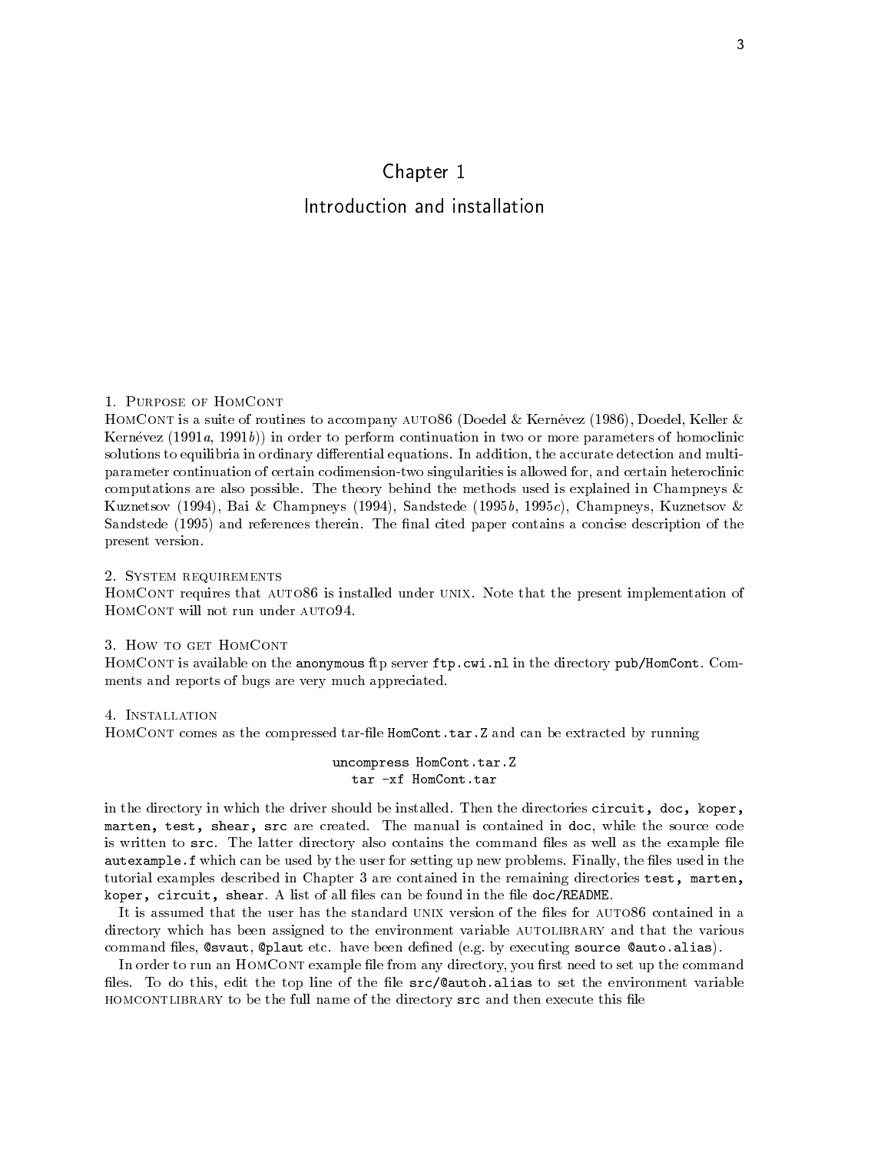# Chapter 1 Introduction and installation

#### Purpose of HomCont

HomCont is a suite of routines to accompany auto- Doedel Kernevez  Doedel Keller Kernévez  $(1991a, 1991b)$  in order to perform continuation in two or more parameters of homoclinic solutions to equilibria in ordinary dierential equations In addition the accurate detection and multi parameter continuation of certain codimension-two singularities is allowed for, and certain heteroclinic computations are also possible The theory behind the methods used is explained in Champneys  $K$ uznetsov konzulstva s staro staro s staro s staro staro s staro s staro s staro s staro s staro s staro s staro s s Sandstede  and references therein The nal cited paper contains a concise description of the present version

#### 2. SYSTEM REQUIREMENTS

HomCont requires that auto- is installed under unix Note that the present implementation of HOMCONT will not run under AUTO94.

#### 3. HOW TO GET HOMCONT

HomCont is available on the anonymous ftp server ftp-cwi-nl in the directory pubHomCont Com ments and reports of bugs are very much appreciated

#### 4. INSTALLATION

HomCont comes as the compressed tarle HomCont-tar-Z and can be extracted by running

#### uncompress HomCont-tar-Z tar -xf HomCont.tar

in the directory in which the driver should be installed Then the directories circuit doc koper marten test shear src are created The manual is contained in doc while the source code is written to strategies the latter directory also contains the community  $\mathbf{d}$ autexample-f which can be used by the user for setting up new problems Finally the les used in the tutorial examples described in Chapter 3 are contained in the remaining directories test, marten, koper circuit shear A list of all les can be found in the le docREADME

directory which has been assigned to the environment variable AUTOLIBRARY and that the various community and alias source and all community and all community and all community and all control of the community of the community of the community of the community of the community of the community of the community of the

In order to run an HOMCONT example file from any directory, you first need to set up the command les To do this edit the top line of the le srcautoh-alias to set the environment variable HOMCONTLIBRARY to be the full name of the directory src and then execute this file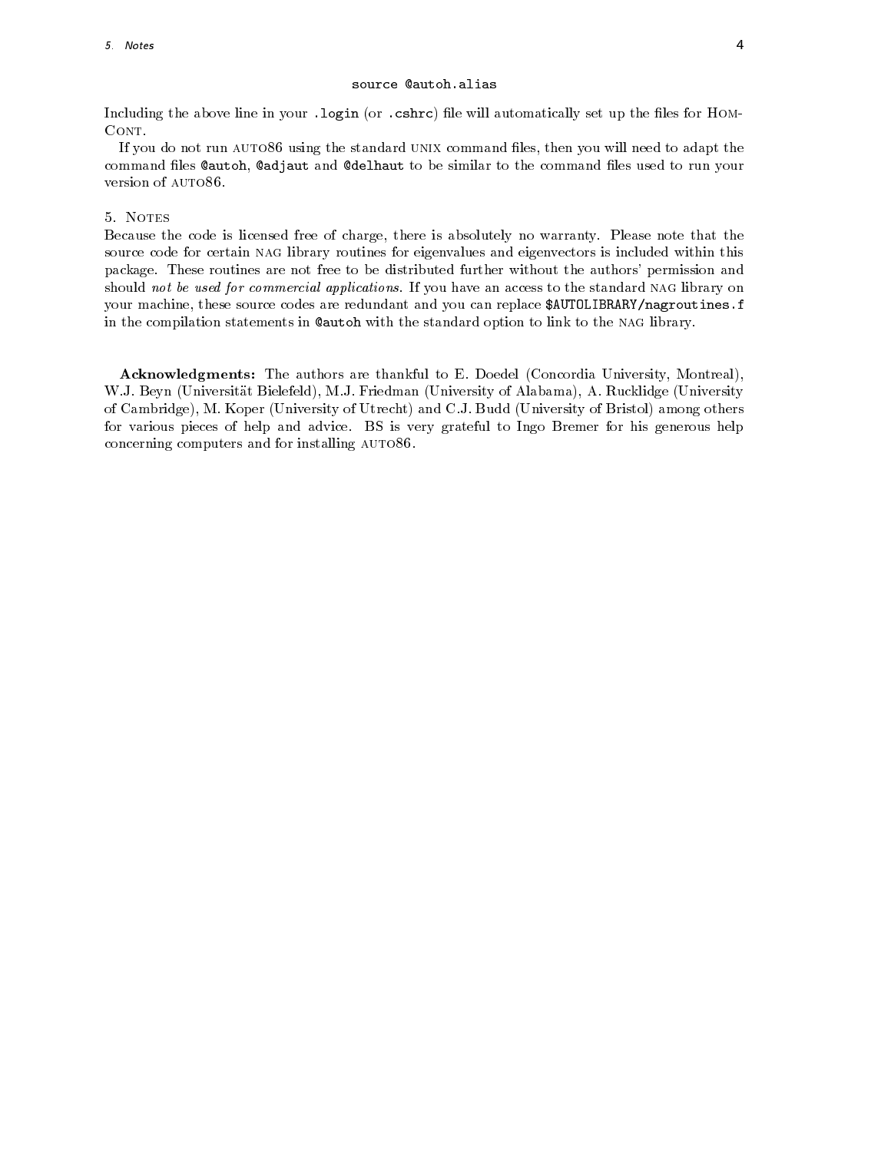Including the above line in your -login or -cshrc le will automatically set up the les for Hom

. If you are stard using the standard university communities to adding the standard unit of the standard the sta command files Cautoh, Cadjaut and Cdelhaut to be similar to the command files used to run your

#### 5. NOTES

Because the code is licensed free of charge there is absolutely no warranty Please note that the source code for certain NAG library routines for eigenvalues and eigenvectors is included within this package These routines are not free to be distributed further without the authors permission and should not be used for commercial applications If you have an access to the standard nag library on your machine these source codes are redundant and you can replace AUTOLIBRARYnagroutines-f in the compilation statements in Cautoh with the standard option to link to the NAG library.

Acknowledgments The authors are thankful to E Doedel Concordia University Montreal W J Beyn Universitat Bielefeld M J Friedman University of Alabama A Rucklidge University of Cambridge M Koper University of Utrecht and C J Budd University of Bristol among others for various pieces of help and advice BS isvery grateful to Ingo Bremer for his generous help concerning computers and for installing auto-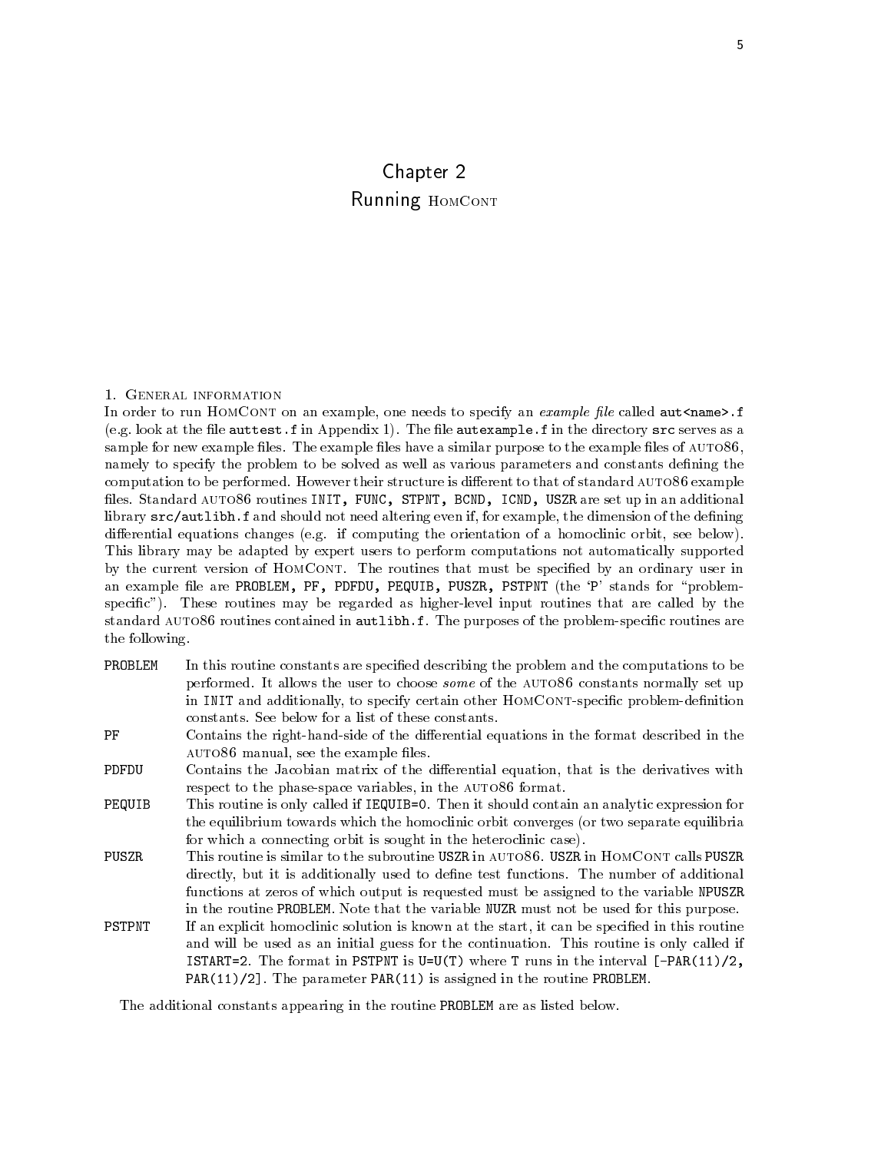### Chapter 2 Running HOMCONT

#### 1. GENERAL INFORMATION

In order to run HomCont on an example one needs to specify an example -le called autname -f e g look at the le auttest-f in Appendix The le autexample-f in the directory src serves as a sample for new example les The example les have a similar purpose to the example les of auto namely to specify the problem to be solved as well as various parameters and constants defining the computation to be performed However their structure is dierent to that of standard auto- example les Standard auto- routines INIT FUNC STPNT BCND ICND USZR are set up in an additional library srcautlibh-f and should not need altering even if for example the dimension of the dening adierential equations changes evolve the orientation of a homoclinic orbit seems computing the seed of This library may be adapted by expert users to perform computations not automatically supported by the current version of HomCont The routines that must be specied by an ordinary user in an example file are PROBLEM, PF, PDFDU, PEQUIB, PUSZR, PSTPNT (the 'P' stands for "problemspecic These routines may be regarded as higherlevel input routines that are called by the standard auto- routines contained in autlibh-f The purposes of the problemspecic routines are the following

- PROBLEM In this routine constants are specified describing the problem and the computations to be performed It allows the user to choose some of the auto- constants normally set up in INIT and additionally, to specify certain other HOMCONT-specific problem-definition
- PF Contains the right-hand-side of the differential equations in the format described in the auto- manual see the example les
- Contains the Jacobian matrix of the differential equation, that is the derivatives with PDFDU respect to the phasespace variables in the auto- format
- . Personal this routine is only called if IEQ is the showled contained and analytic expression for the equilibrium towards which the homoclinic orbit converges (or two separate equilibria for which a connecting orbit is sought in the heteroclinic case
- directly but it is additionally used to dene test functions The number of additional functions at zeros of which output is requested must be assigned to the variable NPUSZR in the routine  $\mathbb{R}$  that the variable NUZR must not be used for this purpose  $\mathbb{R}$
- PSTPNT If an explicit homoclinic solution is known at the start, it can be specified in this routine and will be used as an initial guess for the continuation of the continues is only called if is the format is the format in the interval Part in the interval Part in the interval Party is the interval Pa PAR
 The parameter PAR is assigned in the routine PROBLEM

The additional constants appearing in the routine PROBLEM are as listed below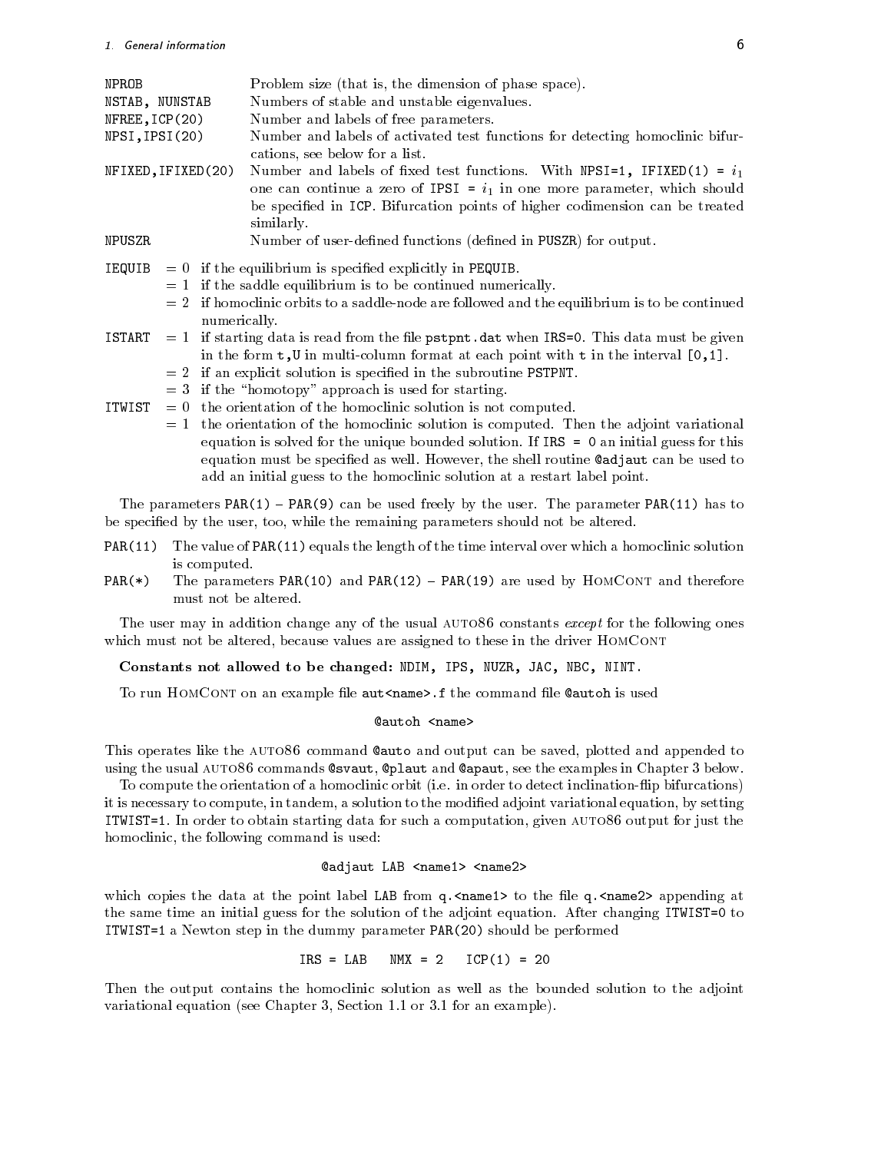| NPROB<br>NSTAB, NUNSTAB         |  |              | Problem size (that is, the dimension of phase space).<br>Numbers of stable and unstable eigenvalues.                                                     |  |  |  |  |
|---------------------------------|--|--------------|----------------------------------------------------------------------------------------------------------------------------------------------------------|--|--|--|--|
| NFREE,ICP(20)<br>NPSI, IPSI(20) |  |              | Number and labels of free parameters.<br>Number and labels of activated test functions for detecting homoclinic bifur-                                   |  |  |  |  |
|                                 |  |              | cations, see below for a list.                                                                                                                           |  |  |  |  |
| NFIXED, IFIXED(20)              |  |              | Number and labels of fixed test functions. With NPSI=1, IFIXED(1) = $i_1$<br>one can continue a zero of IPSI = $i_1$ in one more parameter, which should |  |  |  |  |
|                                 |  |              | be specified in ICP. Bifurcation points of higher codimension can be treated<br>similarly.                                                               |  |  |  |  |
| NPUSZR                          |  |              | Number of user-defined functions (defined in PUSZR) for output.                                                                                          |  |  |  |  |
|                                 |  |              | $IEQUIB = 0$ if the equilibrium is specified explicitly in PEQUIB.                                                                                       |  |  |  |  |
|                                 |  |              | $= 1$ if the saddle equilibrium is to be continued numerically.                                                                                          |  |  |  |  |
|                                 |  | numerically. | $= 2$ if homoclinic orbits to a saddle-node are followed and the equilibrium is to be continued                                                          |  |  |  |  |
|                                 |  |              | ISTART $=1$ if starting data is read from the file pstpnt.dat when IRS=0. This data must be given                                                        |  |  |  |  |
|                                 |  |              | in the form $t, U$ in multi-column format at each point with $t$ in the interval $[0, 1]$ .                                                              |  |  |  |  |
|                                 |  |              | $= 2$ if an explicit solution is specified in the subroutine PSTPNT.                                                                                     |  |  |  |  |
|                                 |  |              | $=$ 3 if the "homotopy" approach is used for starting.                                                                                                   |  |  |  |  |
| ITWIST                          |  |              | $= 0$ the orientation of the homoclinic solution is not computed.                                                                                        |  |  |  |  |
|                                 |  |              | $= 1$ the orientation of the homoclinic solution is computed. Then the adjoint variational                                                               |  |  |  |  |
|                                 |  |              |                                                                                                                                                          |  |  |  |  |

equation is solved for the unique bounded solution If IRS an initial guess for this equation must be specied as well However the shell routine adjaut can be used to add an initial guess to the homoclinic solution at a restart label point

the parameters PART of the user Parameters Parameters Parameters Parameter Parameter Parameter Parameter Parameter be specified by the user, too, while the remaining parameters should not be altered.

- PAR(11) The value of PAR(11) equals the length of the time interval over which a homoclinic solution is computed. is computed by the computed product of the computed by the computed by the computed by the computed by the comp
- $PAR(*)$ The parameters PAR(10) and PAR(12) - PAR(19) are used by HOMCONT and therefore must not be altered

The user may in addition change any of the usual auto- constants except for the following ones which must not be altered, because values are assigned to these in the driver HOMCONT

Constants not allowed to be changed: NDIM, IPS, NUZR, JAC, NBC, NINT.

to run the control on an example less destinations is used the community that complete the state of the community

#### Cautoh <name>

This operates like the auto- command auto and output can be saved plotted and appended to

using the usual auto- commands svaut plaut and apaut see the examples in Chapter below To compute the orientation of a homoclinic orbit i e in order to detect inclination
ip bifurcations it is necessary to compute, in tandem, a solution to the modified adjoint variational equation, by setting ITWIST In order to obtain starting data for such a computation given auto- output for just the homoclinic, the following command is used:

#### @adjaut LAB <name1> <name2>

which copies the data at the point label label label questions of the label questions at  $\eta$  and  $\eta$ the same time an initial guess for the solution of the adjoint equation After changing ITWIST to It wist is a new top in the dummy parameter  $\mathcal{N}$  and  $\mathcal{N}$  are performed before  $\mathcal{N}$ 

$$
IRS = LAB \quad NMX = 2 \quad ICP(1) = 20
$$

Then the output contains the homoclinic solution as well as the bounded solution to the adjoint variational equation see Chapter Section or for an example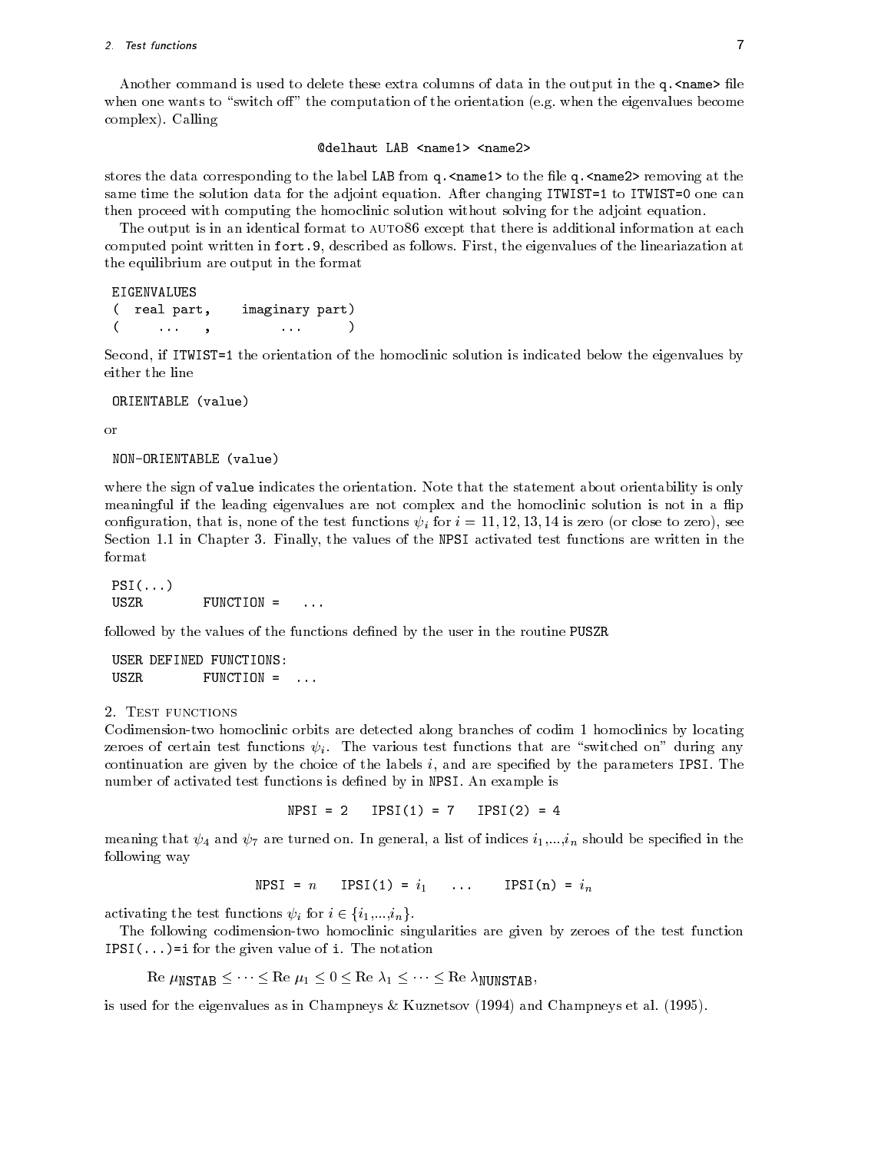#### 2. Test functions **T**

another communication is used to delete these extra columns of data in the output in the q- moment in the qwhen one when to switch on the computation of the computation equation equation estimates become complexed in the complex of the complex of the complex of the complex of the complex of the complex of the complex of the complex of the complex of the complex of the complex of the complex of the complex of the complex of

#### @delhaut LAB <name1> <name2>

stores the data corresponding to the label label discussed it the label question at the length to the letter o same time the solution data for the adjoint equation After changing ITWIST to ITWIST one can then proceed with computing the homoclinic solution without solving for the adjoint equation

The output is in an identical format to auto- except that there is additional information at each computed point written in fort- described as follows First the eigenvalues of the lineariazation at the equilibrium are output in the format

```
EIGENVALUES
 ( real part,  imaginary part)
                                                                                      \mathbf{1}- <del>1999 - 1999 - 1999 - 1999 - 1999 - 1999 - 1999 - 1999 - 1999 - 1999 - 1999 - 1999 - 1999 - 1999 - 1999 - 1999 - 1999 - 1999 - 1999 - 1999 - 1999 - 1999 - 1999 - 1999 - 1999 - 1999 - 1999 - 1999 - 1999 - 1999 - 1999 - 19</del>
                                                  -
```
second is Italian in Italian of the homoclinic solution is indicated by indicated below the eigenvalues by a co

ORIENTABLE (value)

```
or<br>NON-ORIENTABLE (value)
```
where the sign of value indicates the orientation for the statement about orientation about  $\mu$  is only the statement of meaningful if the leading eigenvalues are not complex and the homoclinic solution is not in a flip conguration that is none of the test functions -<sup>i</sup> for <sup>i</sup> - is zero or close to zero see Section in Chapter Finally the values of the NPSI activated test functions are written in the format

- - . . . . 

followed by the values of the functions defined by the user in the routine PUSZR

USER DEFINED FUNCTIONS USZR

#### 2. TEST FUNCTIONS

Codimension-two homoclinic orbits are detected along branches of codim 1 homoclinics by locating zeroes of certain test functions -<sup>i</sup> The various test functions that are switched on during any continuation are given by the choice of the labels i and are specied by the parameters IPSI The number of activations is determined by dened by in NPSI and the Simon products is

ne di serie della contratta della contratta della contratta di serie di serie di serie di serie di serie di se

meaning that  $\tau$  is the turned on the general at the species in the species  $\tau$ following way

$$
NPSI = n \quad IPSI(1) = i_1 \quad \dots \quad IPSI(n) = i_n
$$

activating the test functions  $\psi_i$  for  $i \in \{i_1, ..., i_n\}$ .

The following codimension-two homoclinic singularities are given by zeroes of the test function IPSI for the given value of interest and the notation of interest and the notation of interest and the notation

Re  $\mu_{\text{NSTAR}} \leq \cdots \leq \text{Re } \mu_1 \leq 0 \leq \text{Re } \lambda_1 \leq \cdots \leq \text{Re } \lambda_{\text{NUNSTAR}}$ 

is is the comparator of the eigenvalues as in Champions, as in Champions as in Champions, and the comparator  $\mu$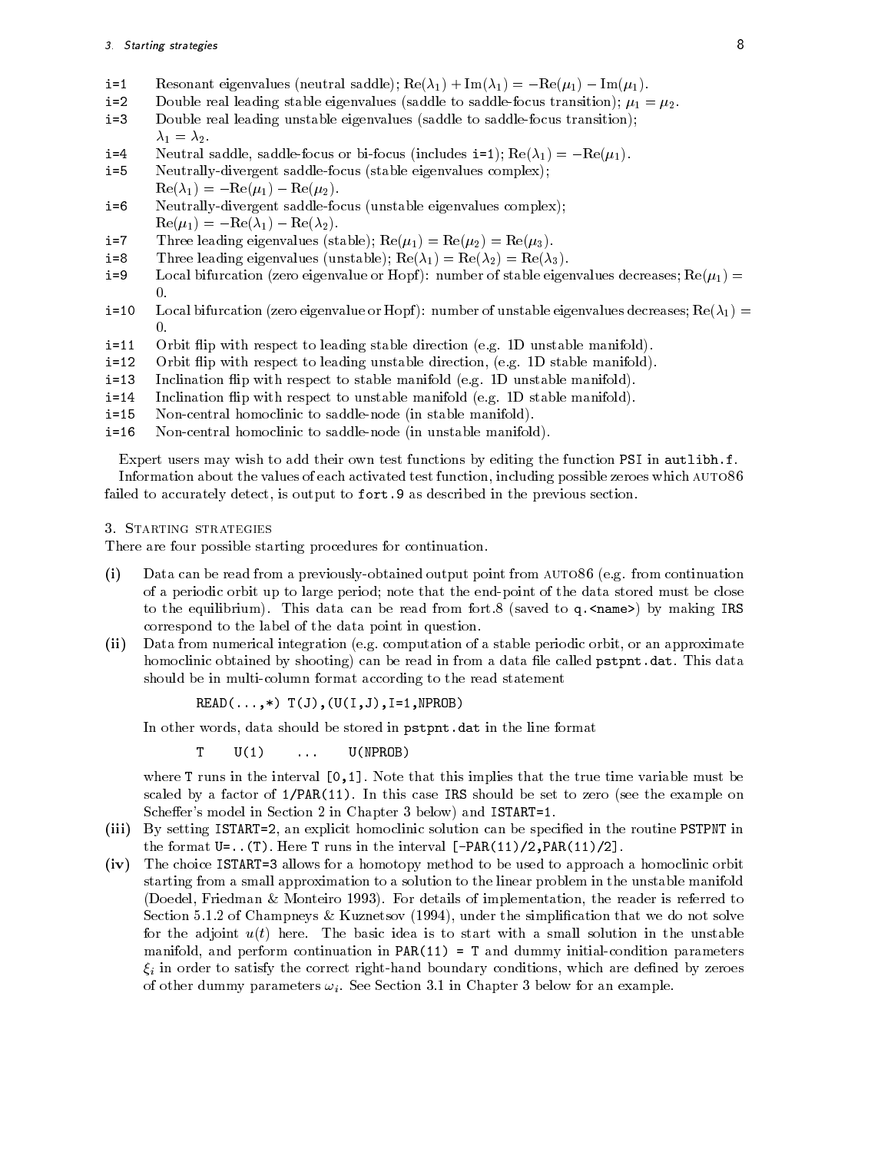#### 3. Starting strategies 8

- i=1 Resonant eigenvalues (neutral saddle);  $\text{Re}(\lambda_1) + \text{Im}(\lambda_1) = -\text{Re}(\mu_1) \text{Im}(\mu_1)$ .
- $i=2$ Double real leading stable eigenvalues (saddle to saddle-focus transition);  $\mu_1 = \mu_2$ .
- $i = 3$ Double real leading unstable eigenvalues (saddle to saddle-focus transition);  $\lambda_1 = \lambda_2$ .
- $i = 4$  $\tau$  requires saddle, saddle-focus of bi-focus (fincludes  $1 - 1$ ),  $\text{Re}(\lambda_1) = -\text{Re}(\mu_1)$ .
- $i = 5$ Neutrally-divergent saddle-focus (stable eigenvalues complex);  $\text{Re}(\lambda_1) = -\text{Re}(\mu_1) - \text{Re}(\mu_2).$
- $i = 6$ Neutrally-divergent saddle-focus (unstable eigenvalues complex);  $\text{Re}(\mu_1) = -\text{Re}(\lambda_1) - \text{Re}(\lambda_2).$
- $i = 7$ Three leading eigenvalues (stable);  $\text{Re}(\mu_1) = \text{Re}(\mu_2) = \text{Re}(\mu_3)$ .
- $i = 8$ Three leading eigenvalues (unstable);  $\text{Re}(\lambda_1) = \text{Re}(\lambda_2) = \text{Re}(\lambda_3)$ .
- $i = 9$ Local bifurcation (zero eigenvalue or Hopf): number of stable eigenvalues decreases;  $\text{Re}(\mu_1)$  = 0.
- $i=10$ Local bifurcation (zero eigenvalue or Hopf): number of unstable eigenvalues decreases;  $Re(\lambda_1)$  $\overline{0}$ .
- $i=11$ Orbit 
ip with respect to leading stable direction e g D unstable manifold
- $i=12$  Orbit 
ip with respect to leading unstable direction e g D stable manifold
- $i = 13$ include the manifold extensive manifold extended to stable manifold extended to a manifold extended by a stable
- $i=14$ is a commutation of the stable manifold extended to understable manifold extended to a commutation of the stable manifold of the stable manifold of the stable manifold of the stable manifold of the stable manifold of the s
- $i=15$ Non-central homoclinic to saddle-node (in stable manifold).
- $i=16$ Non-central homoclinic to saddle-node (in unstable manifold).

 $\Box$  with the functions by editing the functions by editing the functions by editing the function  $\Box$ Information about the values of each activated test function including possible zeroes which auto failed to accurately detect is output to fort- as described in the previous section

3. STARTING STRATEGIES

There are four possible starting procedures for continuation

- is definition and from a previously of the point from an extraction  $\mathcal{L}(\mathcal{A})$  from an extending the continuation of  $\mathcal{L}(\mathcal{A})$ of a periodic orbit up to large period; note that the end-point of the data stored must be close to the equilibrium  $\mu$  can be read from forth from forth  $\mu$  and  $\mu$  and  $\mu$  are ready in the same  $\mu$ correspond to the label of the data point in question
- inter and the computation of a stable periodic orbit or an approximate periodic orbit or an approximate to the homoclinic obtained by shooting can be read in from a data le called pstpnt-dat This data should be in multi-column format according to the read statement

- IJI NDA NDI IJI NDA IJI NDA IJI NDA IJI NDA IJI NDA IJI NDA IJI NDA IJI NDA IJI NDA IJI NDA IJI NDA IJI NDA

In other words data should be stored in pstpnt-dat in the line format

 $T$   $U(1)$ U(NPROB)

where T runs in the interval  $\blacksquare$  . This implies that the true time variable must be true time variable must be states by a factor of PARTICLE and the set to see the set to all the examples on the example on the set of the scheers model in Section and ISTART and ISTART in Section 2019, where ISTART IST

- is a construction of the solution can be setting in the routine  $\alpha$  and  $\alpha$  is the species  $\alpha$  in the routine  $\alpha$ the format U.S. in the interval PART of the interval PART of the interval PART of the interval PART of the interval PART of the interval PART of the interval PART of the interval PART of the interval PART of the interval P
- ivative istart allows for a homotopy method to be used to be used to be used to be used to approach a homoclinic orbit starting from a small approximation to a solution to the linear problem in the unstable manifold Doedel Friedman Monteiro  For details of implementation the reader is referred to Section of Champneys Kuznetsov - under the simplication that we do not solve for the adjoint ut here The basic idea is to start with a small solution in the unstable manifold and perform continuation in Party  $\langle -\rangle$  , we are during the manifold parameters.  $\xi_i$  in order to satisfy the correct right-hand boundary conditions, which are defined by zeroes of other dummy parameters i See Section in Chapter below for an example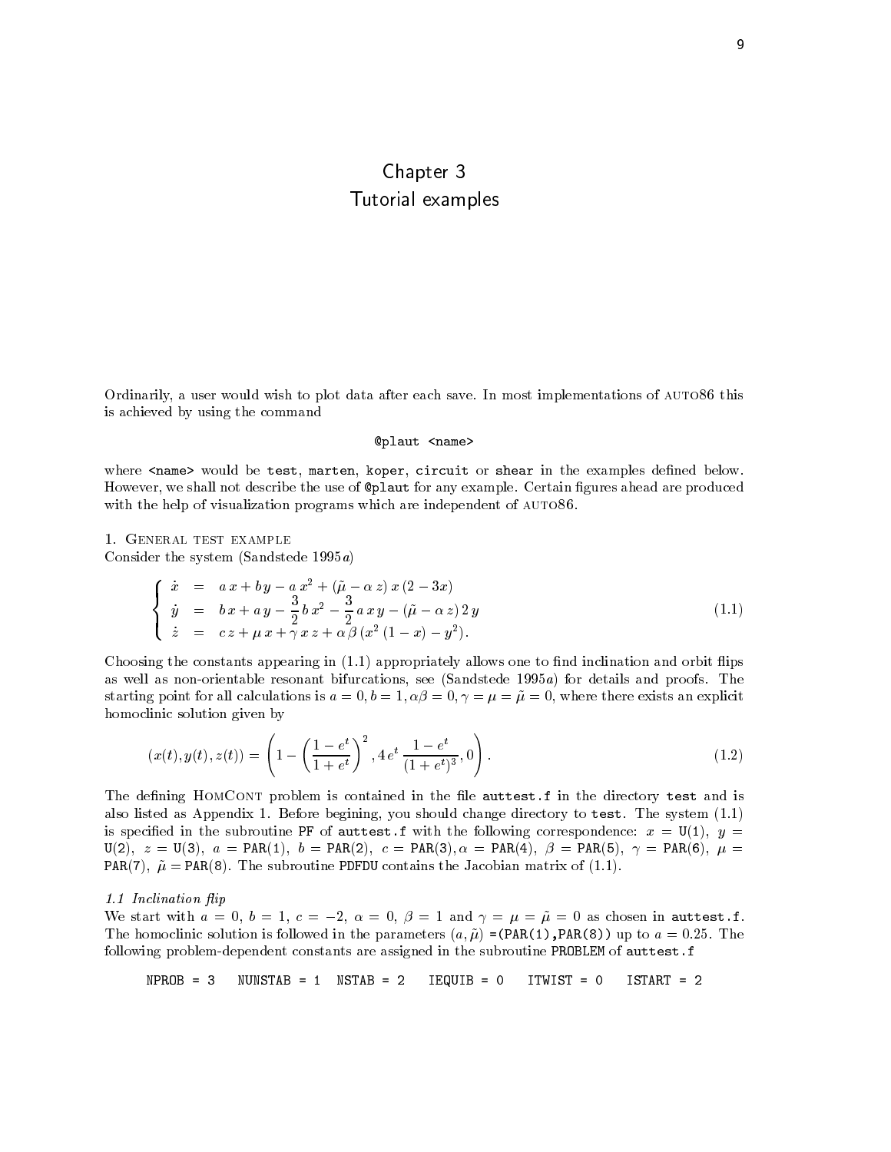## Chapter 3 Tutorial examples

Ordinarily a user would wish to plot data after each save In most implementations of auto- this is achieved by using the command

#### @plaut <name>

where <name> would be test, marten, koper, circuit or shear in the examples defined below. However we shall not describe the use of plaut for any example Certain gures ahead are produced with the help of visualization programs which are independent of auto-second original are independent of auto-

1. GENERAL TEST EXAMPLE

Consider the system (Sandstede  $1995a$ )

$$
\begin{cases}\n\dot{x} = a x + b y - a x^2 + (\tilde{\mu} - \alpha z) x (2 - 3x) \\
\dot{y} = b x + a y - \frac{3}{2} b x^2 - \frac{3}{2} a x y - (\tilde{\mu} - \alpha z) 2 y \\
\dot{z} = c z + \mu x + \gamma x z + \alpha \beta (x^2 (1 - x) - y^2).\n\end{cases}
$$
\n(1.1)

. The constant constants appearing in the propriately allows one to note that the momentum and orbit mapping the as well as a constructed for the seeds of the seeding and problems see Sandstede Sands proofs. In the construction starting point for all calculations is a b ! where there exists an explicit homoclinic solution given by

$$
(x(t), y(t), z(t)) = \left(1 - \left(\frac{1 - e^t}{1 + e^t}\right)^2, 4 e^t \frac{1 - e^t}{(1 + e^t)^3}, 0\right). \tag{1.2}
$$

The dening HomContained in the directory test and in the directory test and is contained in the directory test and is contained in the directory test and is contained in the directory test and is contained in the director also listed as Appendix Before begining you should change directory to test The system is specied in the subroutine PF of auttest-f with the following correspondence x U y  $U$  and  $U$  and  $U$  are the part of  $U$  are the part of  $U$  and  $U$  are the part of  $U$  and  $U$  are the  $U$ PAR ! PAR The subroutine PDFDU contains the Jacobian matrix of

#### include the contract of the contract of the contract of the contract of the contract of the contract of the contract of the contract of the contract of the contract of the contract of the contract of the contract of the co

We start with  $a = 0, b = 1, c = -2, a = 0, p = 1$  and  $\gamma = \mu = \mu = 0$  as chosen in auttest. The homoclinic solution is followed in the parameters a ! PAR
PAR up to a The following problemdependent constants are assigned in the subroutine PROBLEM of auttest-f

 $NPROR = 3$  $IEQUIB = 0$  ITWIST = 0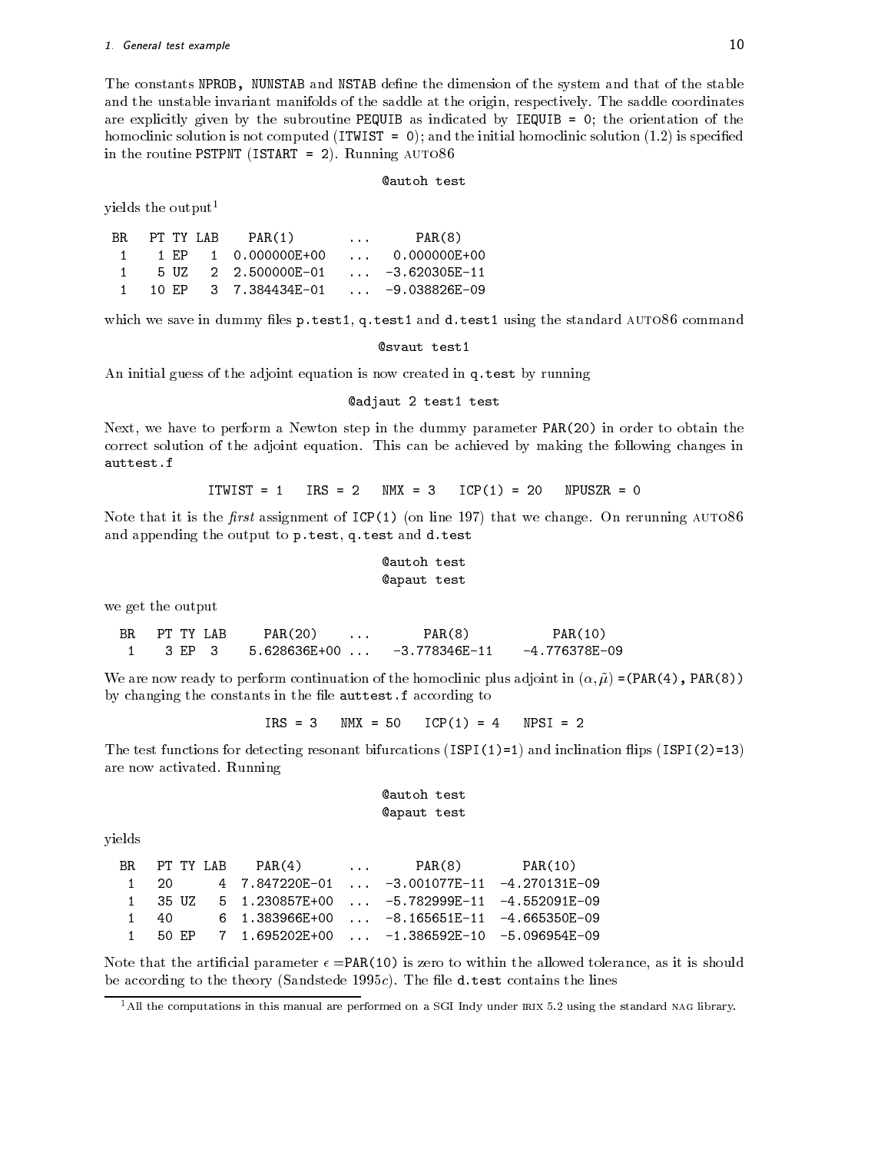The constants NPROB, NUNSTAB and NSTAB define the dimension of the system and that of the stable and the unstable invariant manifolds of the saddle at the saddle at the origin respectively. The saddle coordinates are explicitly given by the subroutine PEQUIB as indicated by IEQUIB as included by IEC (IEC) is not computed in the initial homoclinic solution is not computed in the initial homoclinic solution  $\mathbf{I}$ in the routine  $\mathcal{L}$  is the routine PSTPNT is the routine  $\mathcal{L}$ 

#### **@autoh test**

yields the output

| BR. | PT TY LAB | PAR(1)                              | $\cdots$ | PAR(8)                  |
|-----|-----------|-------------------------------------|----------|-------------------------|
|     |           |                                     |          | $\ldots 0.000000E{+}00$ |
|     |           | 5 UZ 2 2.500000E-01  -3.620305E-11  |          |                         |
|     |           | 10 EP 3 7.384434E-01  -9.038826E-09 |          |                         |

where in determining the standard auto-test and d-test and d-test and d-test and d-test and d-test using the standard auto-

An initial guess of the adjoint equation is now created in q-test by running

#### **@adjaut 2 test1 test**

Next, we have to perform a Newton step in the dummy parameter PAR(20) in order to obtain the correct solution of the adjoint equation of the adjoint equation of the following changes in the following changes in

$$
ITWIST = 1 \t IRS = 2 \t MMX = 3 \t ICP(1) = 20 \t NPUSZR = 0
$$

Note that it is the -rst assignment of ICP on line  that we change On rerunning auto and appending the output to p-test q-test and d-test and d-

#### autoh test apaut test

we get the output

**BR** PT TY LAB  $PAR(20)$ PAR(8) PAR(10)  $\cdots$  $\mathbf{1}$ 3 EP  $\mathbf{R}$  $-4.776378E - 09$ 

we are now ready to perform continuation of the homoclinic plus adjoint in  $\{v_1,v_2,v_3,v_4,v_5,v_6,v_7,v_8,v_8,v_9,v_{10000}\}$  $\alpha$  , changing the constants in the left and constants in the left and  $\alpha$ 

 $ICP(1) = 4$  NPSI = 2

The test functions for detecting resonant bifurcations ISPI and inclination 
ips ISPI
 are now activated Running

```
autoh test
apaut test
```
yields

|                | BRPT TYLAB | PAR(4) | $\mathbf{r}$ , $\mathbf{r}$ , $\mathbf{r}$ | PAR(8)                                                                     | PAR(10) |  |
|----------------|------------|--------|--------------------------------------------|----------------------------------------------------------------------------|---------|--|
| $\sim$ 1       | -20-       |        |                                            | $4$ 7.847220 F-01  -3.001077 F-11 -4.270131 F-09                           |         |  |
|                |            |        |                                            | 1 35 UZ 5 1.230857E+00  -5.782999E-11 -4.552091E-09                        |         |  |
|                | 1 40       |        |                                            | $6\quad 1.383966E+00 \quad \ldots \quad -8.165651E-11 \quad -4.665350E-09$ |         |  |
| $\overline{1}$ | 50 F.P     |        |                                            |                                                                            |         |  |

Note that the artificial parameter  $\epsilon$  =PAR(10) is zero to within the allowed tolerance, as it is should of becoming to the theory (theory) sand they when the contains the lines of  $\mathcal{L}_\mathbf{z}$ 

<sup>&</sup>lt;sup>+</sup> All the computations in this manual are performed on a SGI Indy under IRIX 5.2 using the standard NAG library.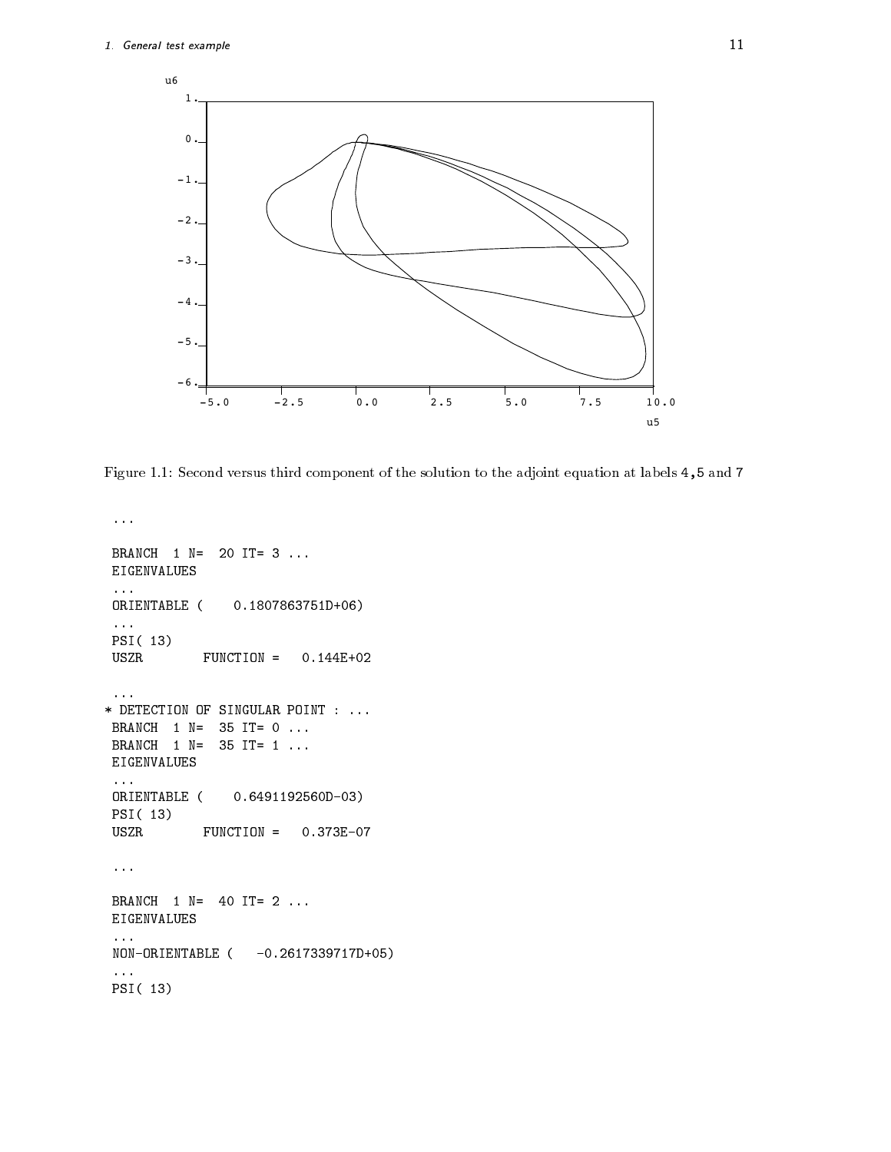

Figure Second versus third component of the solution to the adjoint equation at labels and

```
EIGENVALUES
ORIENTABLE (
                0.1807863751D+06)PSI(13)USZR FUNCTION =
EIGENVALUES
ORIENTABLE (
                0.6491192560D-03)PSI(13)
USZR FUNCTION =
EIGENVALUES
non ensember – () and () is the set of the set of \mathcal{L}PSI(13)
```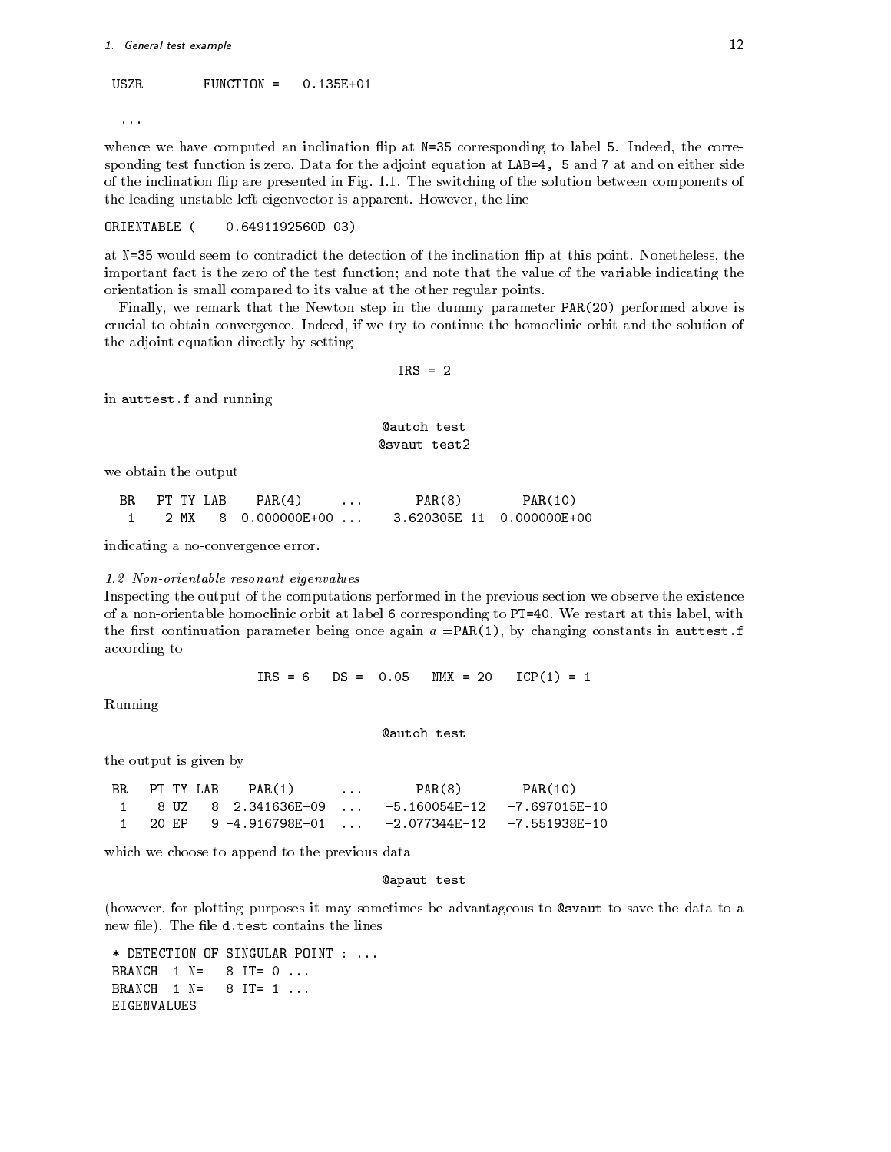#### 1. General test example that the contract of the contract of the contract of the contract of the contract of the contract of the contract of the contract of the contract of the contract of the contract of the contract of t

#### $FUNCTION = -0.135E+01$ **USZR**

 $\cdots$ 

whence we have computed an inclination  $\mathbf{I}$  at New Applies to label to label to label to label to label to label to label to label to label to label to label to label to label to label to label to label to label to lab sponding test function is first at March 2012 the adjoint equations at Adjoint equation at LAB for the side on of the inclination 
ip are presented in Fig The switching of the solution between components of the leading unstable left eigenvector is apparent in the line of the line.

#### ORIENTABLE (  $0.6491192560D-03)$

at the the detection in the detection of the inclination of the inclination map at the points the theoretical the important fact is the zero of the test function; and note that the value of the variable indicating the orientation is small compared to its value at the other regular points

Finally, we remark that the Newton step in the dummy parameter  $PAR(20)$  performed above is crucial to obtain convergence Indeed if we try to continue the homoclinic orbit and the solution of the adjoint equation directly by setting

in auttest-f and running

#### autoh test **@svaut** test2

we obtain the output

| BR. | PT TY LAB | PAR(4)<br>.    | PAR(8)                       | PAR(10) |  |
|-----|-----------|----------------|------------------------------|---------|--|
|     | MX        | 8 0.000000E+00 | $-3.620305E-11$ 0.000000E+00 |         |  |

indicating a no-convergence error.

#### 1.2 Non-orientable resonant eigenvalues

Inspecting the output of the computations performed in the previous section we observe the existence of a non-restart at label orbit at label in label in this label  $\eta$  to PTT at this label with label with  $\eta$  with  $\mathbf{r}$  . The restriction parameter being once again a Party (2), we constant in autoconstants in autoconstants in according to

> $N$ MX = 20 ICP In the contract of the contract of the contract of the contract of the contract of the contract of the contract of the contract of the contract of the contract of the contract of the contract of the contract of the con

Running

**@autoh test** 

the output is given by

| BR. | PT TY LAB | PAR(1)              | $\cdots$ | PAR(8)                                                              | PAR(10) |  |
|-----|-----------|---------------------|----------|---------------------------------------------------------------------|---------|--|
|     |           | 8 UZ 8 2.341636E-09 |          | -5.160054E-12 -7.697015E-10                                         |         |  |
|     |           |                     |          | 1    20 EP    9 -4.916798E-01        -2.077344E-12    -7.551938E-10 |         |  |

which we choose to append to the previous data

#### apaut test

(however, for plotting purposes it may sometimes be advantageous to @svaut to save the data to a new letter contains the left contains the lines of the lines of the lines of the lines of the lines of the lin

BRANCH  $1 N =$  $8$  IT= 0  $\ldots$ BRANCH 1 N=  $8$  IT= 1 ... EIGENVALUES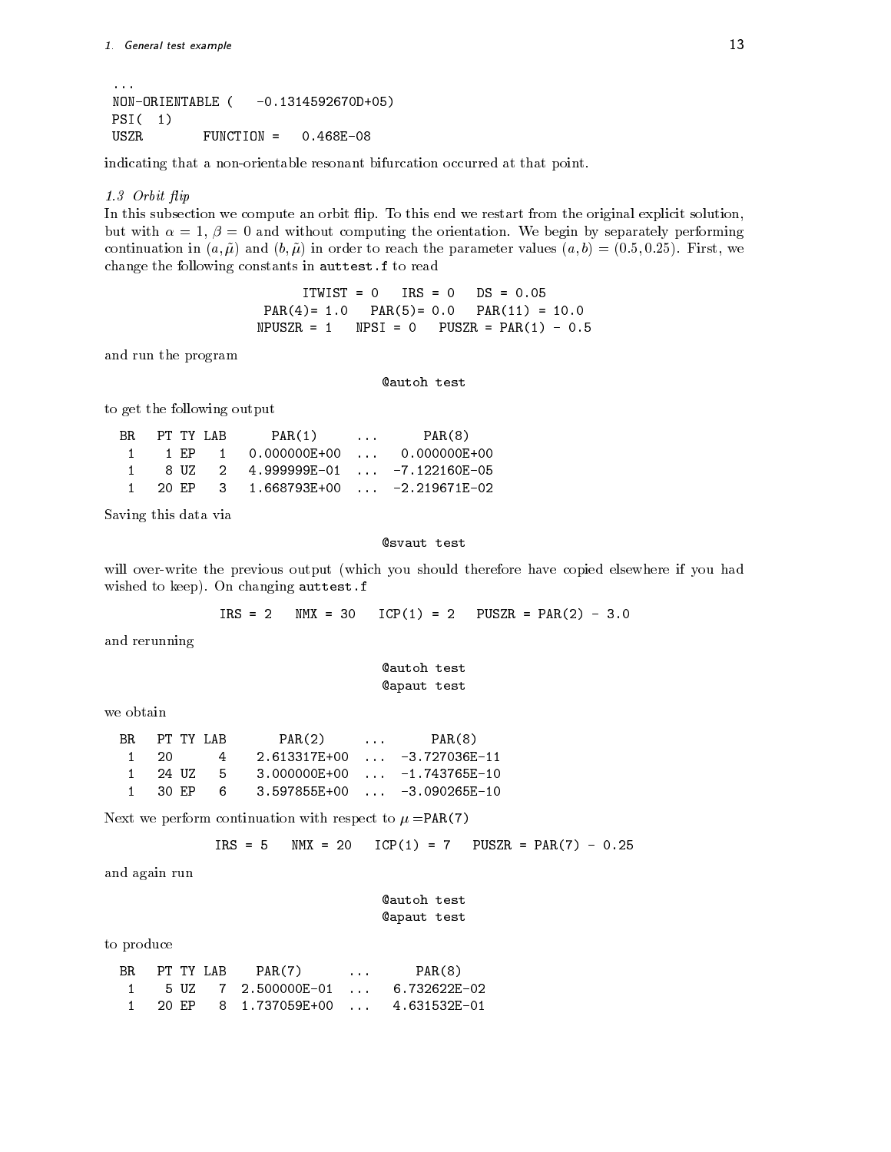```
\mathbf{1}NON-ORIENTABLE (
                  -0.1314592670D+05)PSI(1)USZR FUNCTION =
```
indicating that a non-orientable resonant bifurcation occurred at that point.

#### orbit in the contract of the contract of the contract of the contract of the contract of the contract of the contract of the contract of the contract of the contract of the contract of the contract of the contract of the c

In this subsection we compute an orbit 
ip To this end we restart from the original explicit solution but with with the orientation of the orientation of the orientation of the orientation of the orientation of th continued in a later to reach the parameter values a b  $\sim$  reach the parameter values a b  $\sim$  1 change the following constants in auttest-f to read

> ITWIST  $IRS = 0$ PAR - PAR - PAR -  $\mathcal{N}$  . The pusz  $\mathcal{N}$  is the pusz-dimensional properties of  $\mathcal{N}$  ,  $\mathcal{N}$  ,  $\mathcal{N}$  ,  $\mathcal{N}$  ,  $\mathcal{N}$  ,  $\mathcal{N}$  ,  $\mathcal{N}$  ,  $\mathcal{N}$  ,  $\mathcal{N}$  ,  $\mathcal{N}$  ,  $\mathcal{N}$  ,  $\mathcal{N}$  ,  $\mathcal{N}$  ,  $\mathcal{N}$  ,

and run the program

**Qautoh test** 

to get the following output

| BR. |  | PT TY LAB | PAR(1)                              | $\mathbf{1}$ , $\mathbf{1}$ , $\mathbf{1}$ | PAR(8) |
|-----|--|-----------|-------------------------------------|--------------------------------------------|--------|
|     |  |           | 1 EP 1 0.000000E+00  0.000000E+00   |                                            |        |
|     |  |           | 8 UZ 2 4.999999E-01  -7.122160E-05  |                                            |        |
|     |  |           | 20 EP 3 1.668793E+00  -2.219671E-02 |                                            |        |

Saving this data via

#### **@svaut** test

will over-write the previous output (which you should therefore have copied elsewhere if you had wished to keep your changing and changing and complete the second state of the second state of the second state of the second state of the second state of the second state of the second state of the second state of the sec

> $IRS = 2$  $N$ MX = 30  $ICP(1) = 2$ — PUSZCH PUSZCH PUSZCH PUSZCH PUSZCH PUSZCH PUSZCH PUSZCH PUSZCH PUSZCH PUSZCH PUSZCH PUSZCH PUSZCH PUSZCH PUS

and rerunning

autoh test apaut test

we obtain

| BR. | PT TY LAB |       | PAR(2)                      | <b>Contract Contract</b> | PAR(8)                                  |
|-----|-----------|-------|-----------------------------|--------------------------|-----------------------------------------|
|     | 20.       | 4     | 2.613317E+00  -3.727036E-11 |                          |                                         |
|     | 24 UZ     | - 5 - |                             |                          | $3.000000E+00$ $\ldots$ $-1.743765E-10$ |
|     | 30 EP     | 6.    | 3.597855E+00  -3.090265E-10 |                          |                                         |
|     |           |       |                             |                          |                                         |

Next we perform continuation with respect to  $\mu = PAR(7)$ 

$$
IRS = 5
$$
 MMX = 20 ICP(1) = 7 PUSZR = PAR(7) - 0.25

and again run

| <b>Cautoh test</b> |  |
|--------------------|--|
| Capaut test        |  |

to produce

| BR. | PT TY LAB | PAR(7) | $\cdots$ | PAR(8) |
|-----|-----------|--------|----------|--------|
|     |           |        |          |        |
|     | 20 F.P    |        |          |        |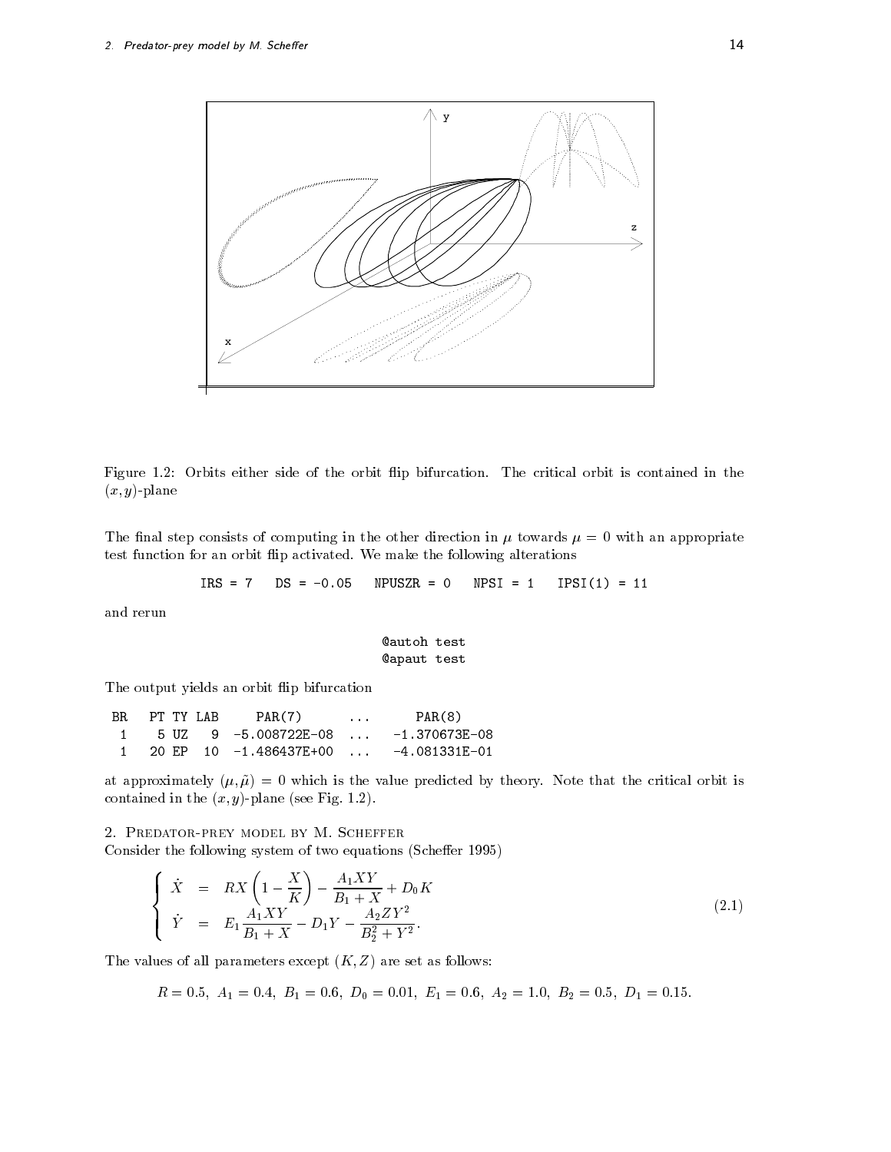

Figure Orbits either side of the orbit ip bifurcation The critical orbit is contained in the  $(x, y)$ -plane

The final step consists of computing in the other direction in  $\mu$  towards  $\mu = 0$  with an appropriate test function for an orbit 
ip activated We make the following alterations

IPSI TANAH PERANJARAN PERANJARAN PERANJARAN PERANJARAN PERANJARAN PERANJARAN PERANJARAN PERANJARAN PERANJARAN

and rerun

apaut test

The output yields an orbit flip bifurcation

 $BR$  PT TY LAB PAR $(7)$  $PAR(8)$ 

at approximation, (p) p; which is the value predicted by the critical orbit is the critical orbit is contained in the year y plane see Fig. 2.2. years of the seedies of the seedies of the seedies of the seedies

Consider the following system of two equations (Scheffer 1995)

$$
\begin{cases}\n\dot{X} = RX \left(1 - \frac{X}{K}\right) - \frac{A_1 XY}{B_1 + X} + D_0 K \\
\dot{Y} = E_1 \frac{A_1 XY}{B_1 + X} - D_1 Y - \frac{A_2 Z Y^2}{B_2^2 + Y^2}.\n\end{cases}
$$
\n(2.1)

The values of all parameters except  $(K, Z)$  are set as follows:

<sup>R</sup> A - B D E A B D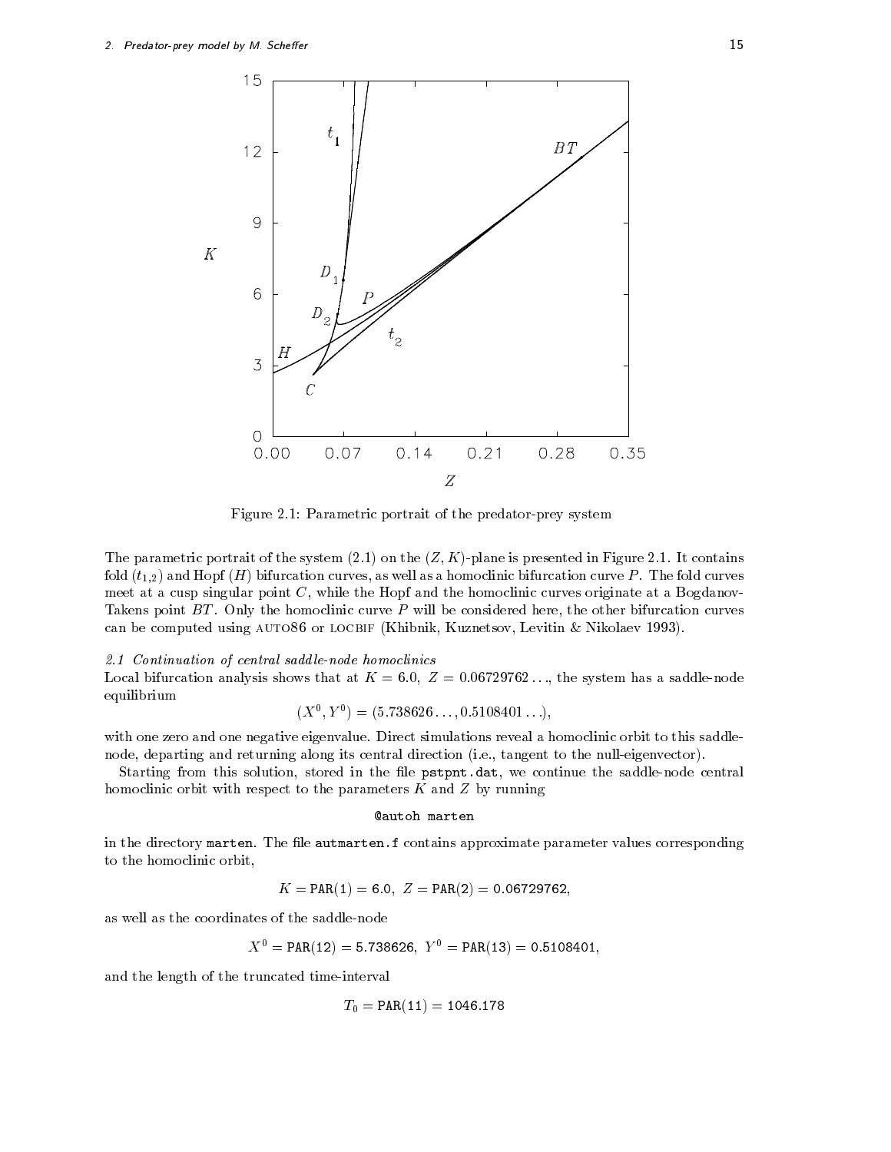

Figure Parametric portrait of the predatorprey system

the parametric portrait of the system (2.2) can the (2.3) presented in Figure is presented in Figure 2.1 and 2.2  $\pm$  $\left\{ \begin{array}{c} 1+i\mu \end{array} \right\}$  if  $\left\{ \begin{array}{c} 1 \end{array} \right\}$  if  $\left\{ \begin{array}{c} 1 \end{array} \right\}$ meet at a cusp singular point  $C$ , while the Hopf and the homoclinic curves originate at a Bogdanov-Takens point BT Only the homoclinic curve P will be considered here the other bifurcation curves can be computed aving it the computer  $\alpha$  and  $\alpha$  is a significant  $\alpha$  and  $\alpha$  and  $\alpha$ 

#### $2.1$  Continuation of central saddle-node homoclinics

Local bifurcation analysis shows that at  $K = 6.0, Z = 0.06729762...$ , the system has a saddle-node equilibrium

$$
(X0, Y0) = (5.738626..., 0.5108401...),
$$

with the and one for negative eigenvalue orbit to this saddle to this saddle that the constructions  $\mathcal{L}(\mathcal{A})$ node departing and returning along its central direction i e tangent to the nulleigenvector

Starting from this solution stored in the le pstpnt-dat we continue the saddlenode central homoclinic orbit with respect to the parameters  $K$  and  $Z$  by running

#### autoh marten

in the directory marten The le autmarten-f contains approximate parameter values corresponding to the homoclinic orbit

$$
K = \text{PAR}(1) = 6.0, \ Z = \text{PAR}(2) = 0.06729762,
$$

as well as the coordinates of the saddlenode

$$
X^0 = \texttt{PAR}(12) = 5.738626, \; Y^0 = \texttt{PAR}(13) = 0.5108401,
$$

and the length of the truncated time-interval

$$
T_0 = \texttt{PAR}(11) = 1046.178
$$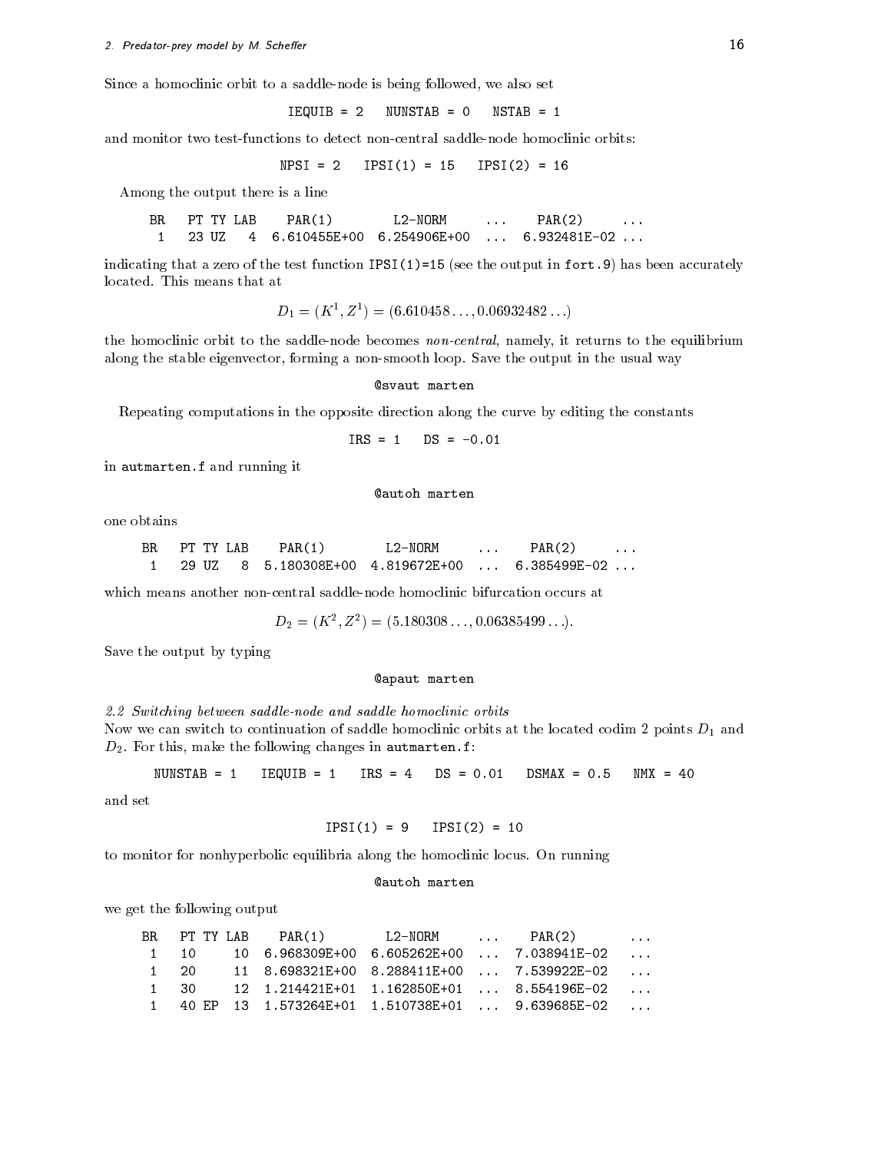Since a homoclinic orbit to a saddle-node is being followed, we also set

<u> and the second contract of the second of the second of the second of the second of the second of the second of </u>

and monitor two test-functions to detect non-central saddle-node homoclinic orbits:

NPSI  IPSI IPSI


Among the output there is a line

**BR**  $PAR(2)$  $\mathbf{A}$  and  $\mathbf{A}$  are the particle in the particle in the particle in the particle in the particle in the particle in the particle in the particle in the particle in the particle in the particle in the particle in the

indicating that a zero of the test function IPSI see the output in fort- has been accurately

$$
D_1 = (K^1, Z^1) = (6.610458..., 0.06932482...)
$$

the homoclinic orbit to the saddle-node becomes non-central, namely, it returns to the equilibrium along the stable eigenvector forming a nonsmooth loop Save the output in the usual way

**@svaut** marten

Repeating computations in the opposite direction along the curve by editing the constants

$$
IRS = 1 \qquad DS = -0.01
$$

in autmarten-f and running it

autoh marten

one obtains

| BR | PT TY LAB | PAR(1)       | L2-NORM      | . | PAR <sub>(2</sub> |  |
|----|-----------|--------------|--------------|---|-------------------|--|
|    |           | 5.180308E+00 | 4.819672E+00 |   | 6.385499F-02      |  |

which means another non-central saddle-node homoclinic bifurcation occurs at

$$
D_2 = (K^2, Z^2) = (5.180308..., 0.06385499...).
$$

Save the output by typing

#### apaut marten

2.2 Switching between saddle-node and saddle homoclinic orbits Now we can switch to continuation of saddle homoclinic orbits at the located codim 2 points  $D_1$  and

nunstable is the state of the state of the state of the state of the state of the state of the state of the st

and set

$$
IPSI(1) = 9 \quad IPSI(2) = 10
$$

to monitor for nonhyperbolic equilibria along the homoclinic locus On running

D For this make the following changes in autmarten-f

#### autoh marten

we get the following output

|      | BR PT TYLAB PAR(1) | L2-NORM  PAR(2) |                                                                                                                     | $\cdots$ |
|------|--------------------|-----------------|---------------------------------------------------------------------------------------------------------------------|----------|
| 1 10 |                    |                 | $10$ 6.968309E+00 6.605262E+00  7.038941E-02                                                                        |          |
| 1 20 |                    |                 | $11 \quad 8.698321E+00 \quad 8.288411E+00 \quad \ldots \quad 7.539922E-02 \quad \ldots$                             |          |
| 1 30 |                    |                 | $12 \quad 1.214421E+01 \quad 1.162850E+01 \quad \ldots \quad 8.554196E-02 \quad \ldots$                             |          |
|      |                    |                 | $1 \quad 40 \text{ EP} \quad 13 \quad 1.573264E+01 \quad 1.510738E+01 \quad \ldots \quad 9.639685E-02 \quad \ldots$ |          |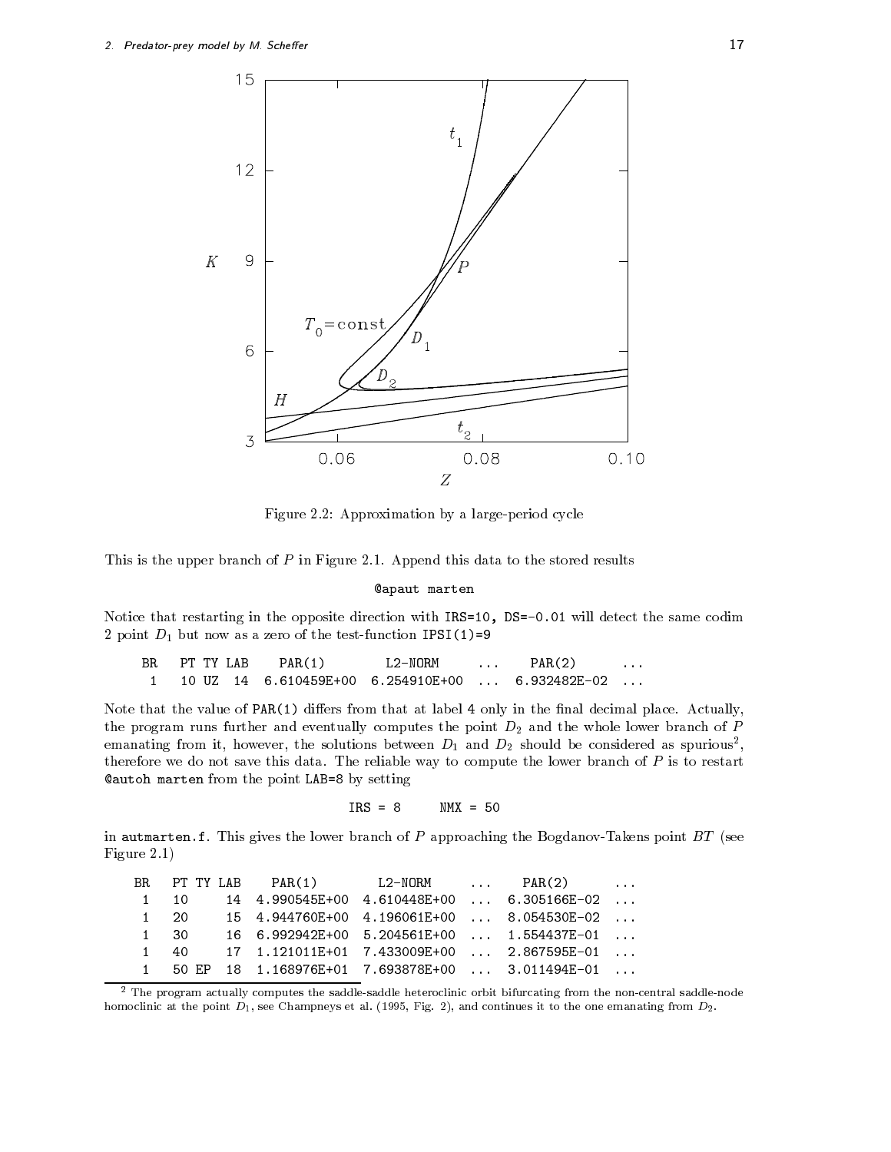![](_page_16_Figure_1.jpeg)

Figure Approximation by a largeperiod cycle

This is the upper branch of P in Figure Append this data to the stored results

apaut marten

Notice that restarting in the opposite direction with IRS DS - will detect the same codim point D but now as a zero of the test function IPSI  $\sim$  .

BR PT TY LAB PAR(1) L2-NORM  $PAR(2)$ 6.254910E+00  $\ddotsc$ 

Note that the value of PAR diers from that at label only in the nal decimal place Actually the program runs further and eventually computes the point  $D_2$  and the whole lower branch of  $P$ emanating from it, however, the solutions between  $D_1$  and  $D_2$  should be considered as spurious , therefore we do not save this data data followed way to compute the source to a lower branch of  $\sim$ autoh marten from the point LAB by setting

 $IRS = 8$ 

in automarten-branch of P and the lower branch of P approaching the BagdanovTakens point BT seeds the seeds of Figure

|      |  |  | BR PT TY LAB $PAR(1)$ L2-NORM $PAR(2)$               |  |
|------|--|--|------------------------------------------------------|--|
| 1 10 |  |  | 14  4.990545E+00  4.610448E+00    6.305166E-02       |  |
| 1 20 |  |  | 15   4.944760E+00   4.196061E+00      8.054530E-02   |  |
| 1 30 |  |  | 16   6.992942E+00   5.204561E+00      1.554437E-01   |  |
| 1 40 |  |  |                                                      |  |
|      |  |  | $1$ 50 EP 18 1.168976E+01 7.693878E+00  3.011494E-01 |  |

- The program actually computes the saddlesaddle heteroclinic orbit bifurcating from the noncentral saddlenode homoclinic at the point D see Champing at all  $\{1,2,3,4\}$  , and continues it to the emanating from D-S-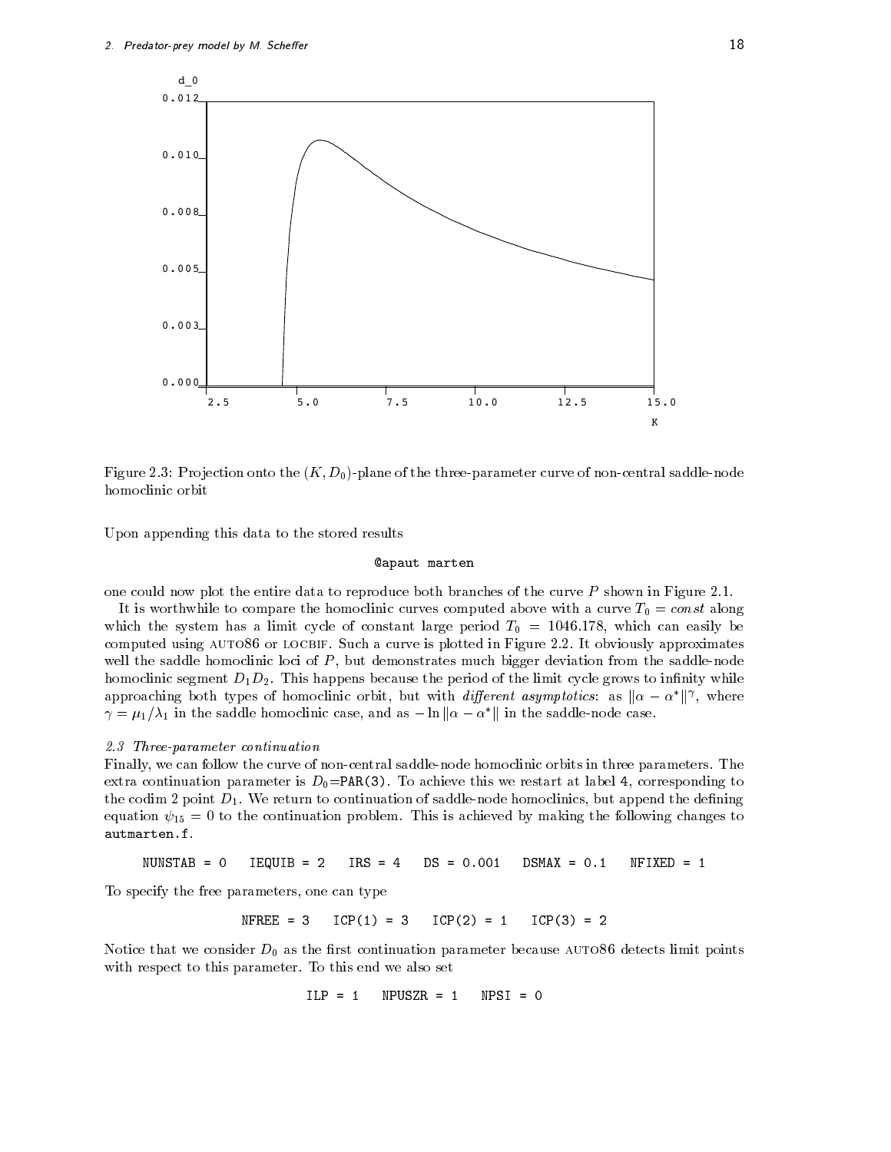![](_page_17_Figure_1.jpeg)

Figure Pro jection onto the K Dplane of the threeparameter curve of noncentral saddlenode homoclinic orbit

Upon appending this data to the stored results

#### apaut marten

one could now plot the entire data to reproduce both branches of the curve P shown in Figure

It is worthwhile to compare the homoclinic curves computed above with a curve  $T_0 = const$  along which the system has a limit cycle of constant large period T  $\alpha$  -constant which can easily be computed using auto- orlocbif Such a curve is plotted in Figure It obviously approximates well the saddle homoclinic loci of  $P$ , but demonstrates much bigger deviation from the saddle-node homoclinic segment DD This happens because the period of the limit cycle grows to innity while approaching both types of homoclinic orbit, but with *different asymptotics*: as  $\|\alpha - \alpha^*\|^{\gamma}$ , where  $\gamma = \mu_1/\lambda_1$  in the saddle homoclinic case, and as  $-\ln \|\alpha - \alpha^*\|$  in the saddle-node case.

#### 2.3 Three-parameter continuation

Finally we can follow the curve of noncentral saddlenode homoclinic orbits in three parameters The  $\mathbf{v}$  and  $\mathbf{v}$  achieve this weight at label  $\mathbf{v}$ the codim point D We return to continuation of saddlenode homoclinics but append the dening equation  $\tau$  is a to the continuation problems to making the following the following changes to

NUNSTAB IEQUIB  $IRS = 4$ NFIXED

To specify the free parameters, one can type

 $N$ FREE = 3  $ICP(1) = 3$  $ICP(2) = 1$  $ICP(3) = 2$ 

 $\mathbf v$  as the rst constant points limit points limit points limit points limit points limit points limit points limit points limit points limit points limit points limit points limit points limit points limit points limit with respect to this parameter  $\mathbb{F}_q$  and we also set this end we also set this end we also set this end we

> $ILP = 1$  NPUSZR NPSI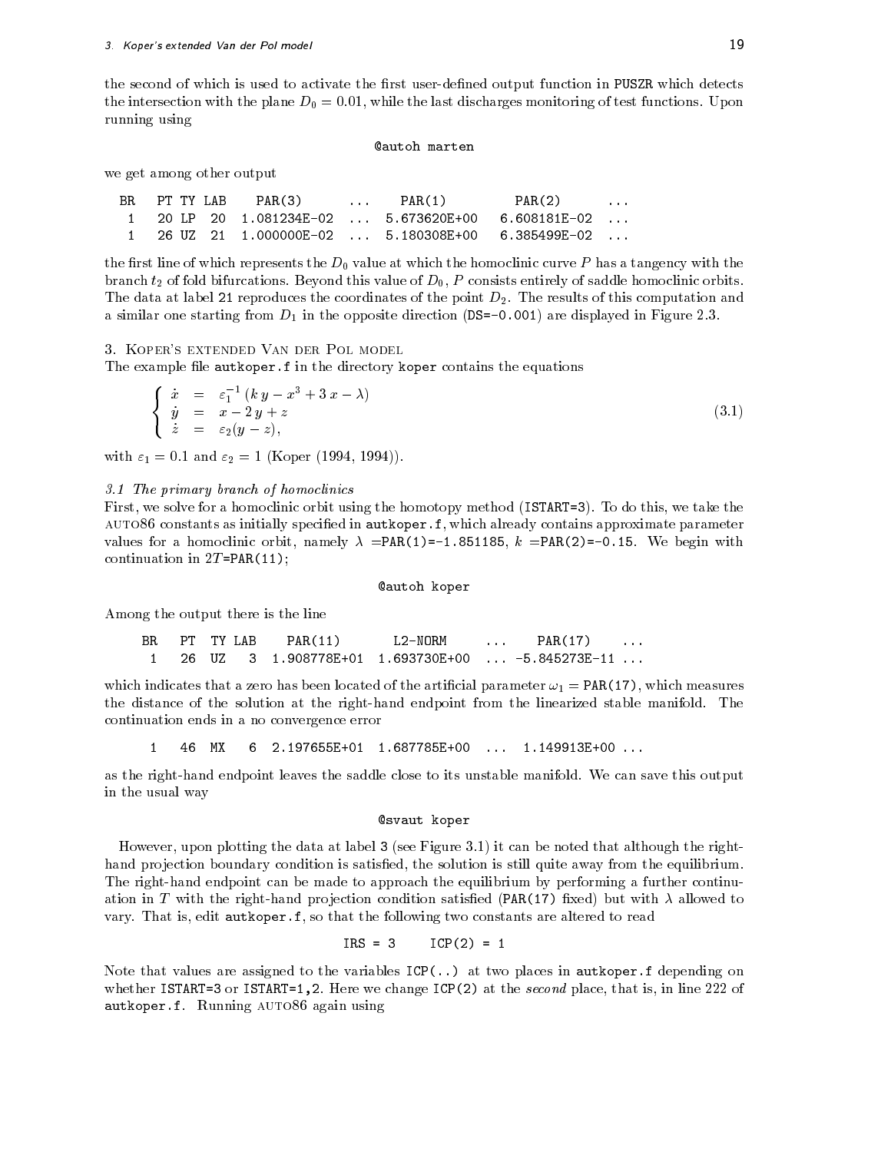the second of which is used to activate the first user-defined output function in PUSZR which detects the intersection with the plane  $\equiv$   $\parallel$  . The last discharges monotonic functional of test functions  $\equiv$  plane running using

#### autoh marten

we get among other output

| BR. | PT TY LAB | PAR(3) | $\ldots$ PAR(1) | PAR(2)                                               | $\sim$ $\sim$ $\sim$ $\sim$ |
|-----|-----------|--------|-----------------|------------------------------------------------------|-----------------------------|
|     |           |        |                 | $1$ 20 LP 20 1.081234E-02  5.673620E+00 6.608181E-02 |                             |
|     |           |        |                 | $1$ 26 UZ 21 1.000000E-02  5.180308E+00 6.385499E-02 |                             |

the first line of which represents the  $D_0$  value at which the homoclinic curve P has a tangency with the branch this value of this value of this value of saddle homoclinic orbits entirely of saddle homoclinic orbits The data at label  $\mathbb{R}$  at label  $\mathbb{R}$  the point Dirac decomputation and  $\mathbb{R}$ a similar one starting from D in the opposite direction DS - are displayed in Figure

3. KOPER'S EXTENDED VAN DER POL MODEL

The example le autkoper-f in the directory koper contains the equations

$$
\begin{cases}\n\dot{x} = \varepsilon_1^{-1} (k y - x^3 + 3 x - \lambda) \\
\dot{y} = x - 2 y + z \\
\dot{z} = \varepsilon_2 (y - z),\n\end{cases}
$$
\n(3.1)

 $\blacksquare$  . And . The set of the set of the set of  $\blacksquare$ 

3.1 The primary branch of homoclinics

First we solve for a homoclinic orbit using the homoclinic orbit using the homotopy method is we take the homotopy method is well as  $\mathbf{F}$ auto- constants as initially specied in autkoper-f which already contains approximate parameter values for a homoclinic orbit namely PAR - k PAR
 - We begin with continued in the particle in the particle in the particle in the particle in the particle in the particle in the particle in the particle in the particle in the particle in the particle in the particle in the particle in t

#### autoh koper

Among the output there is the line

 $BR$  PT TY LAB  $PAR(11)$  L2-NORM PT.  $PAR(17)$ 

which indicates that a zero has been located of the artificial parameter  $\omega_1 = \text{PAR}(17)$ , which measures the distance of the solution at the righthand endpoint from the linearized stable manifold The continuation ends in a no convergence error

 $\mathbf{1}$ 

as the righthand endpoint leaves the saddle close to its unstable manifold We can save this output in the usual way

#### svaut koper

 $H = H \cdot \mathbf{R}$ hand projection boundary condition is satisfied, the solution is still quite away from the equilibrium. The right-hand endpoint can be made to approach the equilibrium by performing a further continuation in T with the right-hand projection condition satisfied (PAR(17) fixed) but with  $\lambda$  allowed to vary, that is easy that the following the following the following the following the following the following the

> $IRS = 3$  $ICP(2) = 1$

Note that values are assigned to the variables ICP
-- at two places in autkoper-f depending on where is increased in the second place is in line  $\{ - \}$  . The second place is in line in line  $\alpha$  is in line  $\alpha$ auto-per-an-an-an-again an-an-again using an-an-again and an-an-again and all and all and all and an an-an-aga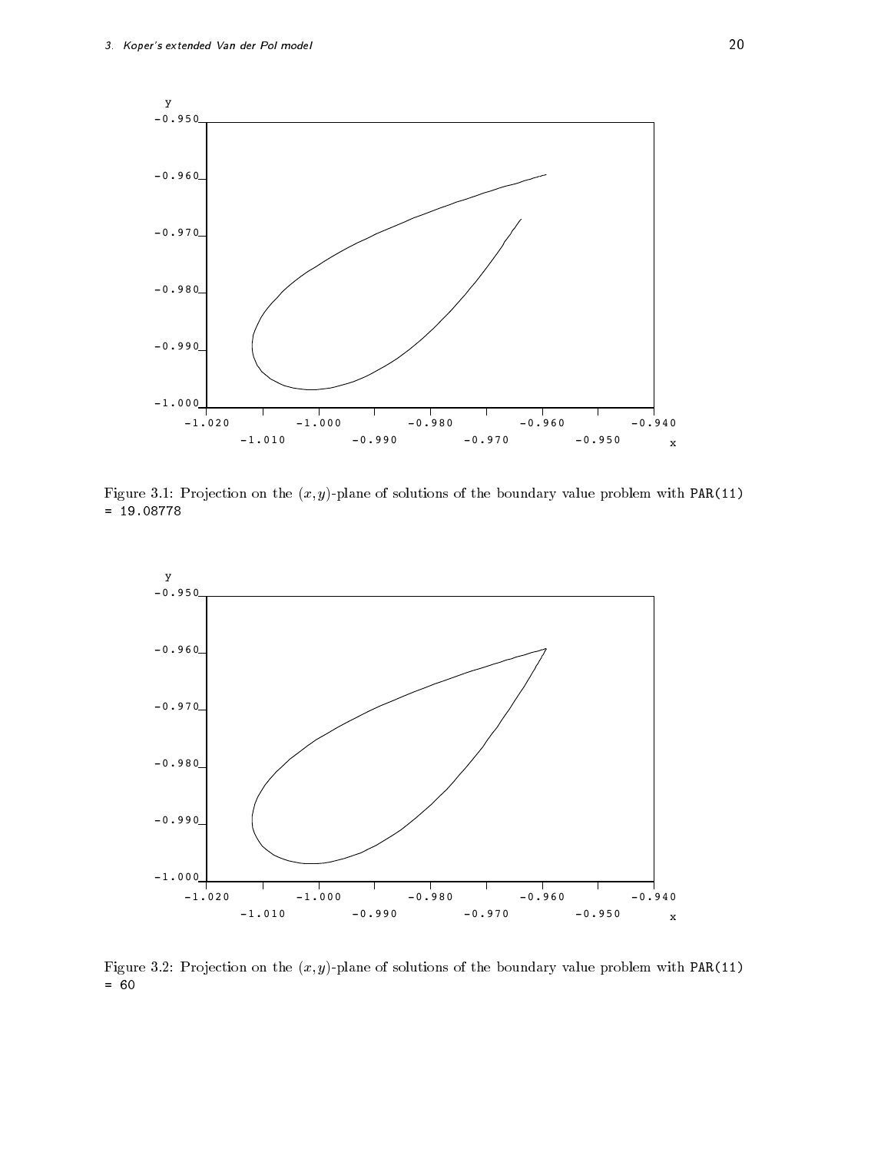![](_page_19_Figure_1.jpeg)

Figure Pro jection on the x yplane of solutions of the boundary value problem with PAR

![](_page_19_Figure_3.jpeg)

Figure Pro jection on the x yplane of solutions of the boundary value problem with PAR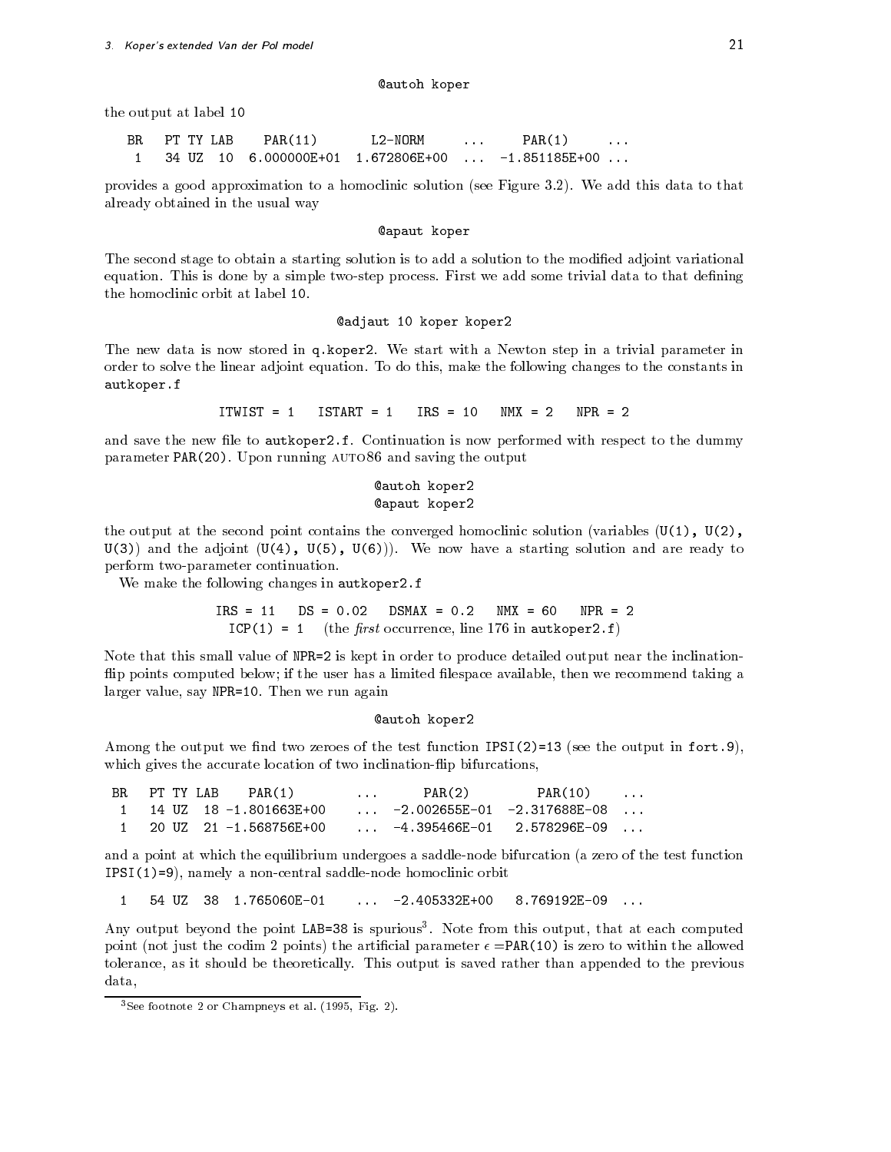#### autoh koper

the output at label

**BR** PT TY LAB  $PAR(11)$  $L2-NORM$  $PAR(1)$ PAR -

provides a good approximation to a homoclinic solution see Figure We add this data to that already obtained in the usual way

#### apaut koper

The second stage to obtain a starting solution is to add a solution to the modified adjoint variational equation This is done by a simple twostep process First we add some trivial data to that dening the homoclinic orbit at label 10.

#### @adjaut 10 koper koper2

The new data is now stored in q-koper We start with a Newton step in a trivial parameter in order to solve the linear adjoint equation To do this make the following changes to the constants in autkoper-kanaliserin kuningas kanaliserin kuningas kanaliserin kuningas kanaliserin kuningas kanaliserin kunin

> $ITWIST = 1$  $TSTART = 1$  $TRS = 10$  $NMX = 2$  $NPR = 2$

and save the new letto authority the section is not the dummy with respect to the dummy and  $\alpha$ parameter Paraquet, Paraquet, Parameter para the output of the output of the output of the output of the output

### **@autoh koper2 @apaut** koper2

the output at the second point contains the converged homoclinic solution (variables  $(U(1), U(2))$ , U and the adjoint U U U We now have a starting solution and are ready to perform two-parameter continuation.

 $\mathcal{L}$  . The following changes in an author  $\mathcal{L}$  and  $\mathcal{L}$ 

 $IRS = 11$  $DS = 0.02$  $DSMAX = 0.2$  $NMX = 60$  $NPR = 2$ ICP the -rst occurrence line in autkoper-f

Note that this small value of NPR  is kept in order to produce detailed output near the inclination flip points computed below; if the user has a limited filespace available, then we recommend taking a larger value say NPR Then we run again

#### **@autoh koper2**

 $\bm{M}$  the output we note that the test function  $\bm{M}$  is the output in fortwhich gives the accurate location of two inclination-flip bifurcations,

| BRPT TYLAB | PAR(1)                   | <b><i>Contractor Committee States</i></b> | PAR(2) | PAR(10)                                       | $\sim$ $\sim$ $\sim$ $\sim$ |
|------------|--------------------------|-------------------------------------------|--------|-----------------------------------------------|-----------------------------|
|            | 1 14 UZ 18 -1.801663E+00 |                                           |        | $\ldots$ -2.002655E-01 -2.317688E-08 $\ldots$ |                             |
|            | 1 20 UZ 21 -1.568756E+00 | $\sim$ $\sim$ $\sim$                      |        |                                               |                             |

and a point at which the equilibrium undergoes a saddle-node bifurcation (a zero of the test function IPSI a non-central saddlenode homoclinic orbital saddlenode homoclinic orbital saddlenode homoclinic orbital s

 $\blacktriangleleft$ 

Any output beyond the point LAB=38 is spurious . Note from this output, that at each computed point (not just the codim 2 points) the artificial parameter  $\epsilon = PAR(10)$  is zero to within the allowed to the theoretical be the this output is said that the previous contract than appended to the previous than appe data. data at an angle of the second second second second second second second second second second second second second second second second second second second second second second second second second second second second se

see footnote  $\angle$  or Champneys et al. (1995, Fig. 2).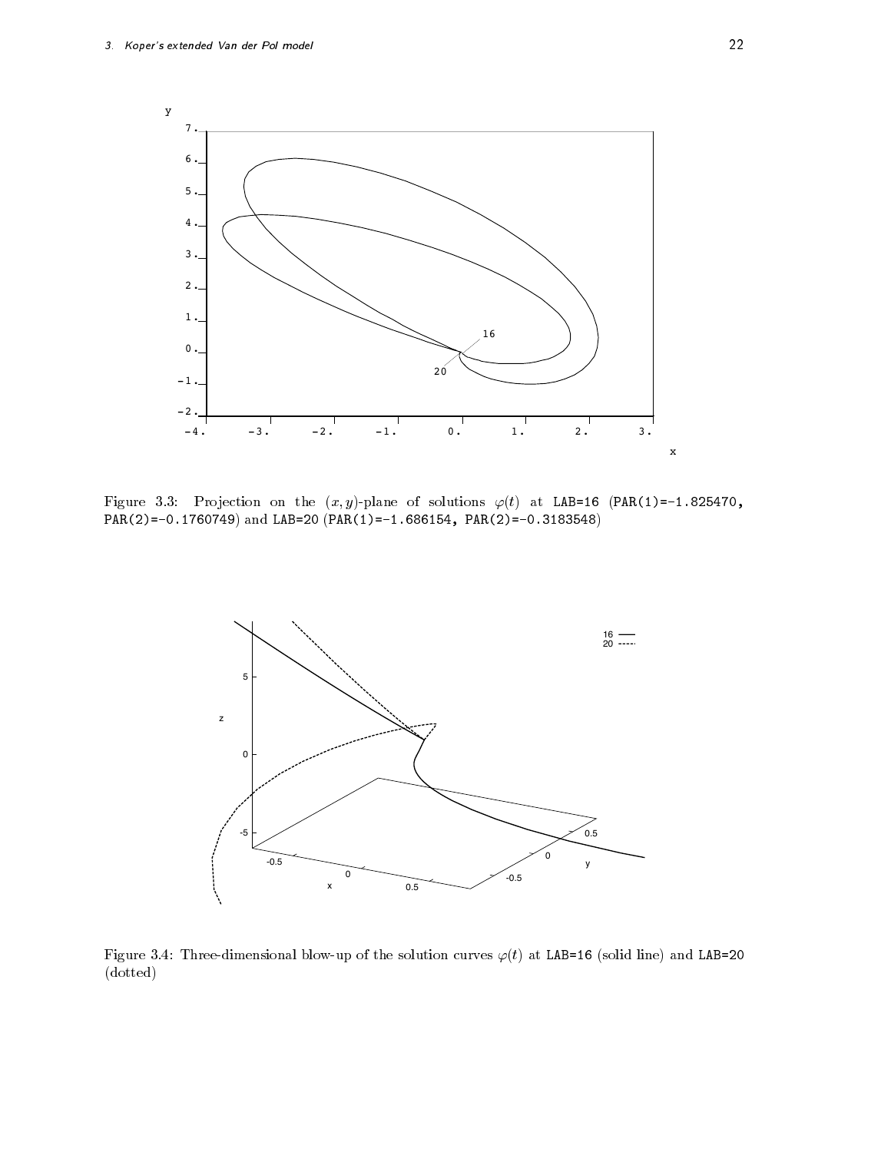![](_page_21_Figure_1.jpeg)

Figure Pro jection on the x yplane of solutions t at LAB PAR - PAR
 - and LAB  PAR - PAR
 -

![](_page_21_Figure_3.jpeg)

Figure - Threedimensional blowup of the solution curves t at LAB solid line and LAB  dotted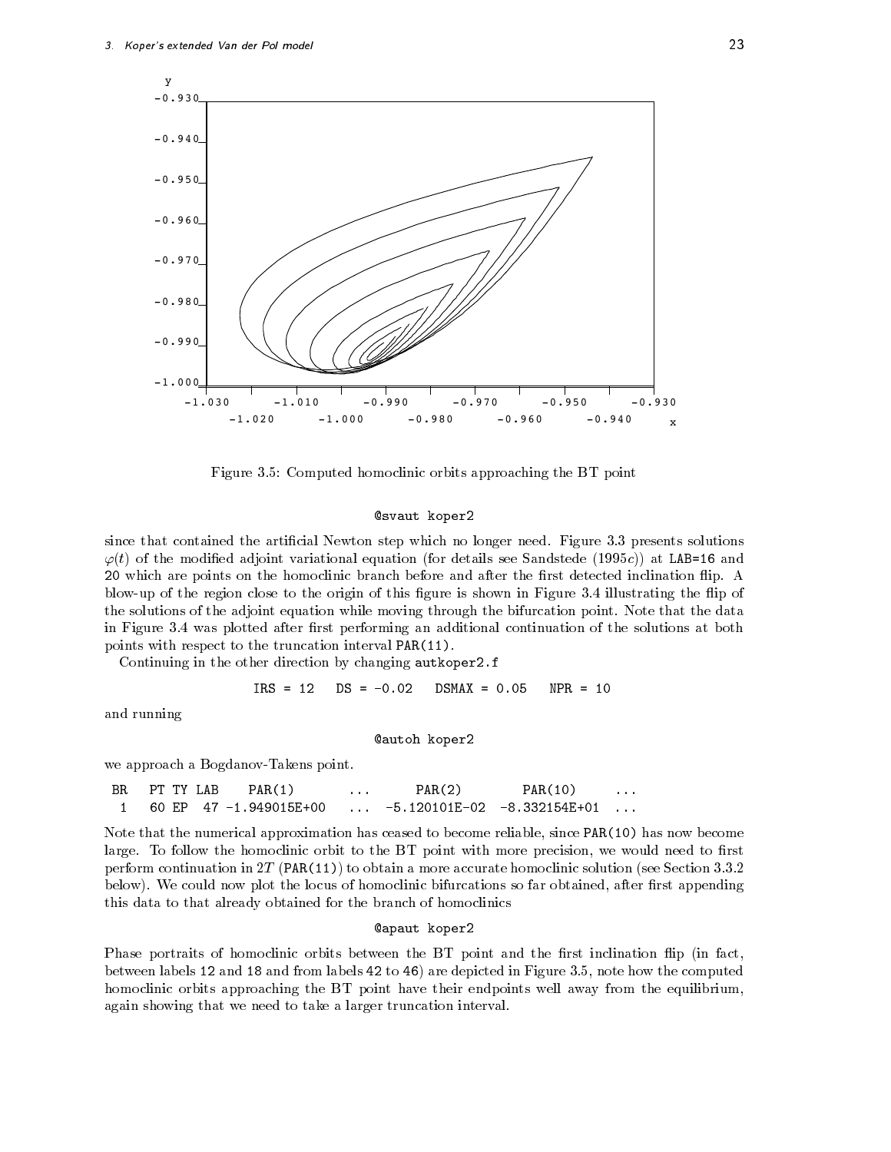![](_page_22_Figure_1.jpeg)

Figure Computed homoclinic orbits approaching the BT point

#### @svaut koper2

since that contained the articial Newton step which no longer need Figure presents solutions  $t \wedge t$ which are points on the homoclinic branch before and after the rst detected inclination  $\mathbf{I}$ ... af it in this guide this is the origin of this guaranteed in Figure is shown in Figure ... ... ... ... ... the solutions of the adjoint equation while moving the bifurcation points for the data through in Figure - was plotted after rst performing an additional continuation of the solutions at both points with respect to the truncation interval PAR(11).

Continuing in the other direction by changing autkoper-f

$$
IRS = 12
$$
  $DS = -0.02$   $DSMAX = 0.05$   $NPR = 10$ 

and running

#### autoh koper

we approach a Bogdanov-Takens point.

| BR. | PT TY LAB | PAR(1)                   | $\cdots$ | PAR(2) | PAR(10)                       | $\cdots$ |
|-----|-----------|--------------------------|----------|--------|-------------------------------|----------|
|     |           | 1 60 FP 47 -1.949015F+00 |          |        | $-5.120101E-02 -8.332154E+01$ |          |

Note that the numerical approximation has ceased to become reliable, since PAR(10) has now become large To follow the homoclinic orbit to the BT point with more precision we would need to rst perform continuation in TT Party ( ) is an interesting more accurate the more accurate homoclinic solution see below to course the locus of the locus of the locus of homoclinic bifurcations so far obtained after respect to  $\mu$ this data to that already obtained for the branch of homoclinics

#### **@apaut** koper2

Phase portraits of homoclinic orbits between the  $BT$  point and the first inclination flip (in fact, between labels  and and from labels  to are depicted in Figure note how the computed homoclinic orbits approaching the BT point have their endpoints well away from the equilibrium, again showing that we need to take a larger truncation interval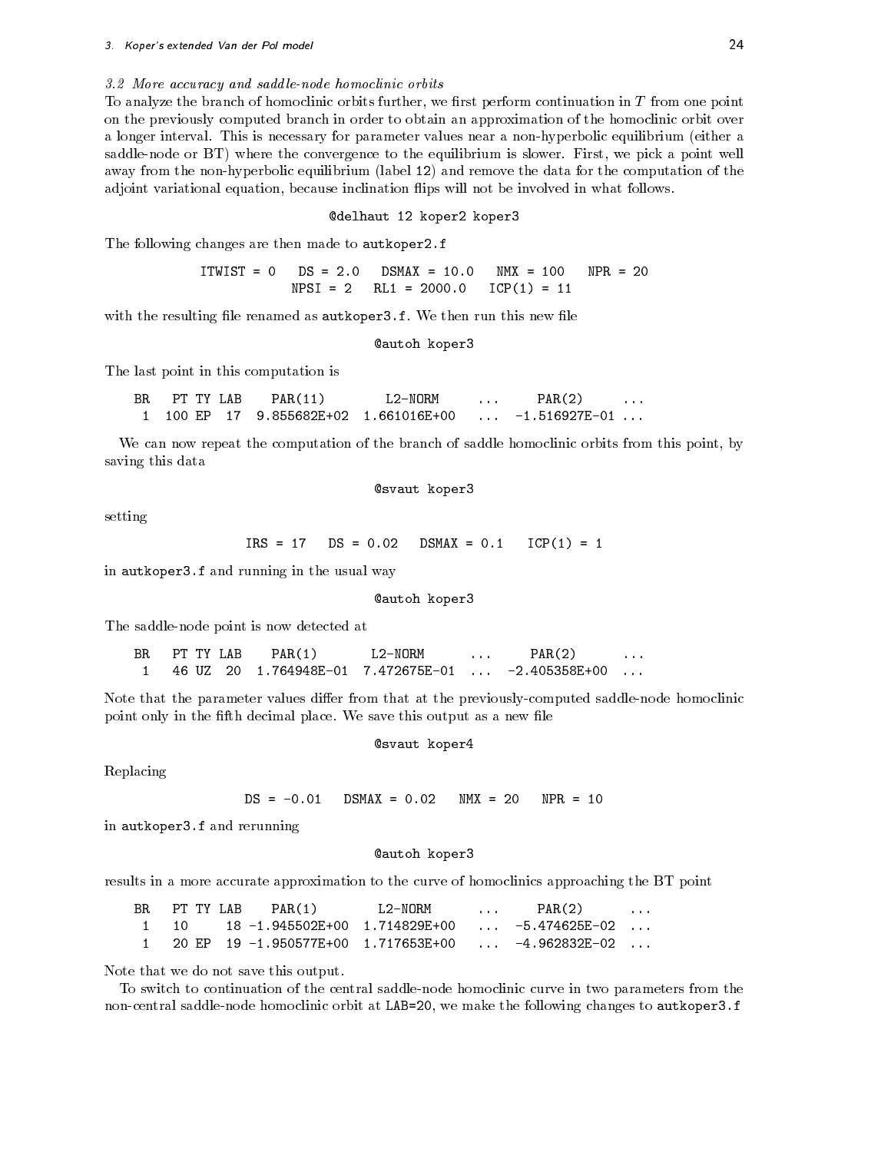#### 3.2 More accuracy and saddle-node homoclinic orbits

To analyze the branch of homoclinic orbits further, we first perform continuation in  $T$  from one point on the previously computed branch in order to obtain an approximation of the homoclinic orbit over a longer intervalue for parameter values near parameters is near a nonhyperbolic equipment either a n saddlenode or BT, where the convergence to the equilibrium is slower first we pick a point well away from the non-hyperbolic equilibrium (label 12) and remove the data for the computation of the adjoint variational equation, because inclination flips will not be involved in what follows.

#### @delhaut 12 koper2 koper3

The following changes are then made to autkoper-f

ICP

with the resulting direction in the rule result in this new left and the second complete  $\mathcal{L}_{\mathcal{A}}$ 

```
@autoh koper3
```
The last point in this computation is

| BR. | PT TY LAB | PAR(11)                               | L2-NORM | PAR(2)                          | $\cdots$ |
|-----|-----------|---------------------------------------|---------|---------------------------------|----------|
|     |           | 1 100 EP 17 9.855682E+02 1.661016E+00 |         | $\ldots$ -1.516927E-01 $\ldots$ |          |

We can now repeat the computation of the branch of saddle homoclinic orbits from this point, by saving this data

@svaut koper3

setting

 $IRS = 17$ ICP In the contract of the contract of the contract of the contract of the contract of the contract of the contract of the contract of the contract of the contract of the contract of the contract of the contract of the con

in autkoper-f and running in the usual way

```
@autoh koper3
```
The saddlenode point is now detected at

**BR** PT TY LAB  $PAR(1)$  $L2-NORM$  $PAR(2)$  $\sim$   $\sim$  $\mathbf{1}$ and the state of the state of the state of the state of the state of the state of the state of the state of th PAR
 - $\overline{1}$  $\ldots$ 

Note that the parameter values differ from that at the previously-computed saddle-node homoclinic point only in the fth decimal place We save this output as a new le

#### @svaut koper4

Replacing

 $N$ MX = 20  $NPR = 10$ 

in automatic control of and results are represented in a second control of and results are related to the control of and results are related to the control of and results are related to the control of and related to the co

**@autoh koper3** 

results in a more accurate approximation to the curve of homoclinics approaching the BT point

| BR PT TY LAB | PAR(1) | L2-NORM | $\cdots$ | PAR(2)                                                   | $\cdots$ |
|--------------|--------|---------|----------|----------------------------------------------------------|----------|
| -1 -10       |        |         |          | $18 - 1.945502E + 00$ $1.714829E + 00$ $-5.474625E - 02$ |          |
|              |        |         |          | 20 EP 19 -1.950577E+00 1.717653E+00     -4.962832E-02    |          |

Note that we do not save this output

To switch to continuation of the central saddlenode homoclinic curve in two parameters from the noncentral saddlenode homoclinic orbit at Linic orbit at Manuel orbit at LaBin and the following changes to authority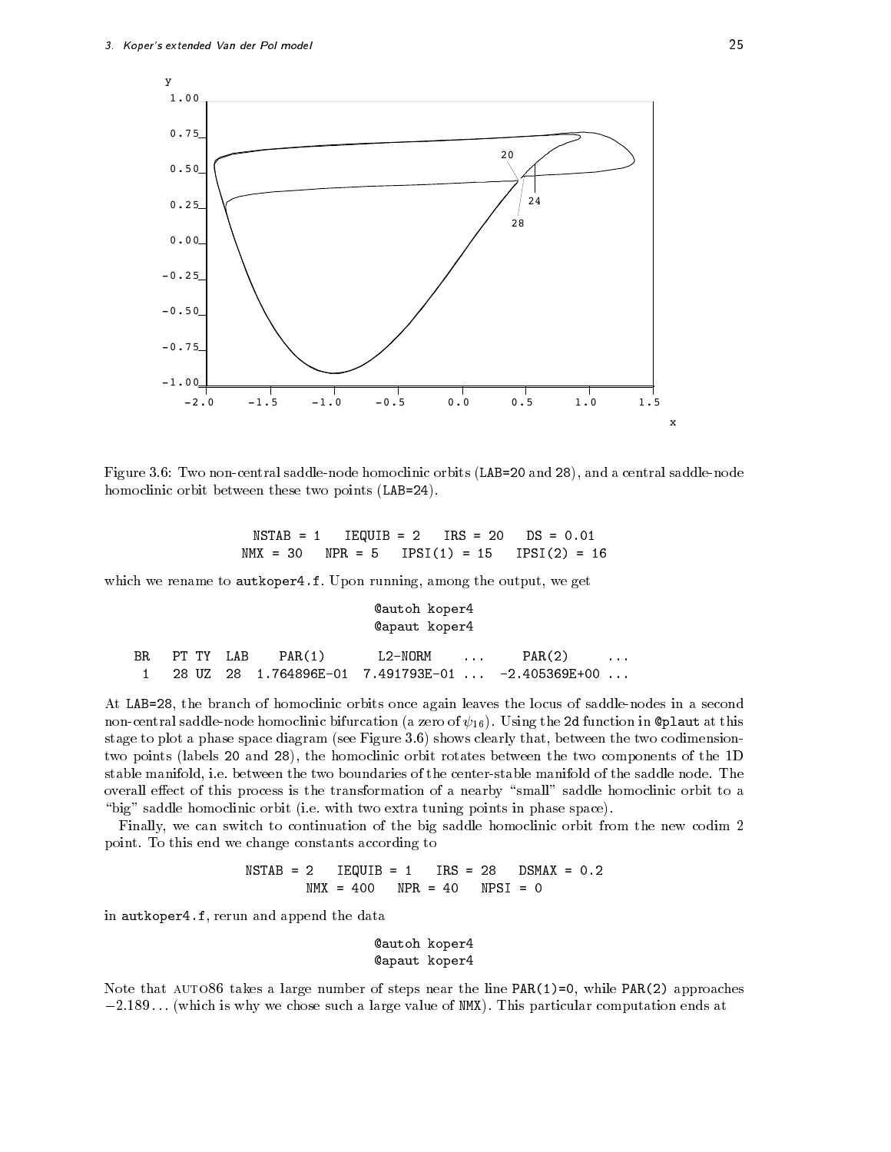![](_page_24_Figure_1.jpeg)

Figure 1. Two noncentral saddlenode homoclinic orbits LAB  $\mathcal{L}$ homoclinic orbit between these two points LAB 

NSTAB IEQUIB  $IRS = 20$  $N$ MX = 30  $NPR = 5$  $IPSI(1) = 15$  $IPSI(2) = 16$ 

which we rename to authorize the output we get we get we get we get we get we get we get we get we get we get

#### **@autoh** koper4 **@apaut** koper4

|  | BR PT TY LAB $PAR(1)$ | L2-NORM | and the company of the company of the | PAR(2)                                                | $\cdots$ |
|--|-----------------------|---------|---------------------------------------|-------------------------------------------------------|----------|
|  |                       |         |                                       | $1$ 28 UZ 28 1.764896E-01 7.491793E-01  -2.405369E+00 |          |

... and all the standard of homoclinic orbits once again leaves the locus of saddler in a seconde noncentral saddlenode homoclinic bifurcation and function  $\mathcal{L}^{\text{u}}$  (U) at the function in plants of this stage to plot a plasm suppose diagram see Figure 2019, was clearly that if we can be two codimensions of the two two points (labels 20 and 28), the homoclinic orbit rotates between the two components of the 1D stable manifold i e between the two boundaries of the centerstable manifold of the saddle node The overall effect of this process is the transformation of a nearby "small" saddle homoclinic orbit to a big saddle homoclinic orbit i e with two extra tuning points in phase space

Finally, we can switch to continuation of the big saddle homoclinic orbit from the new codim 2 point To this end we change constants according to

> $NSTAB = 2$   IEQUIB  $IRS = 28$  $N$ MX = 400  $NPR = 40$  $NPSI = 0$

in autkoper-f rerun and append the data

#### **@autoh koper4** apaut koper

while the takes a large steps and the line parties are the line  $\{x_j\}$  ,  $\{y_j\}$  ,  $\{y_j\}$  ,  $\{y_j\}$  ,  $\{y_j\}$  ,  $\{y_j\}$  ,  $\{y_j\}$  ,  $\{y_j\}$  ,  $\{y_j\}$  ,  $\{y_j\}$  ,  $\{y_j\}$  ,  $\{y_j\}$  ,  $\{y_j\}$  ,  $\{y_j\}$  ,  $\{y$  $-$ 2.109... (which is why we chose such a large value of NMX). This particular computation ends at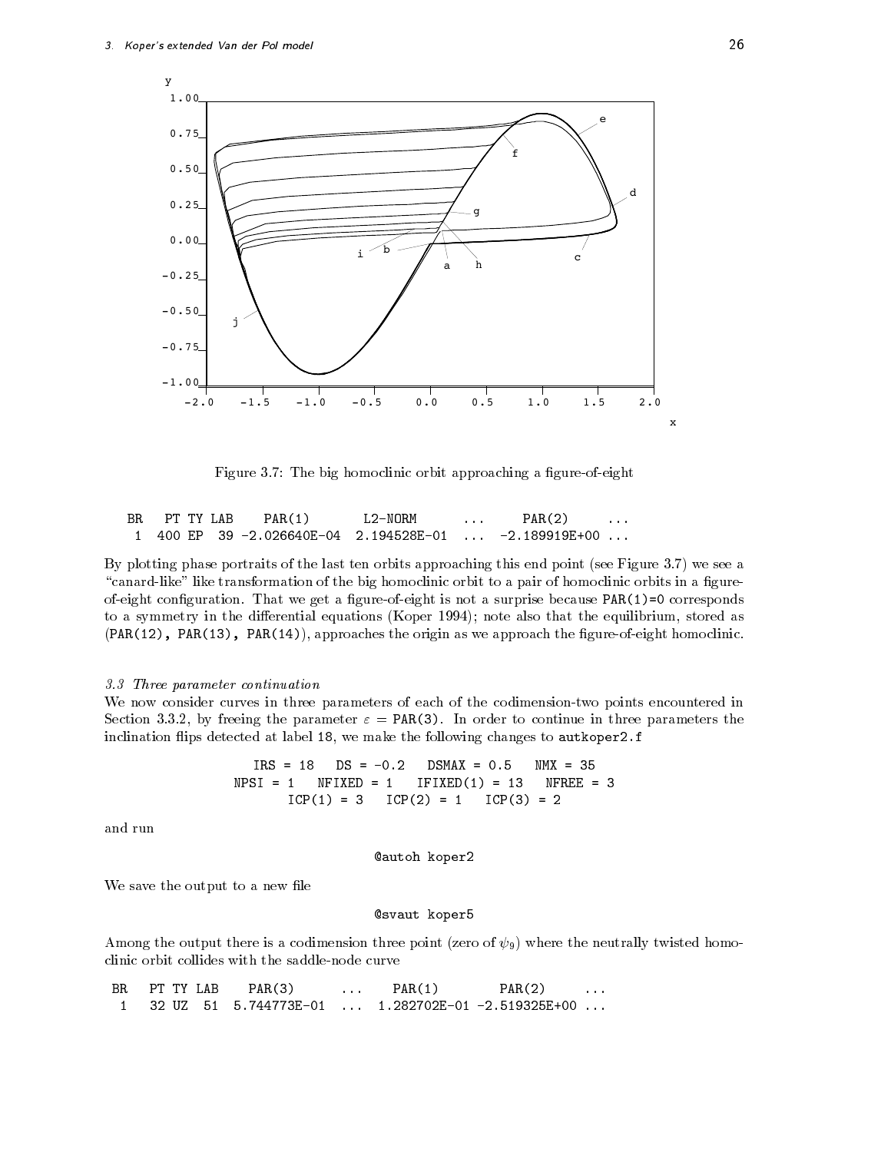![](_page_25_Figure_1.jpeg)

Figure The big homoclinic orbit approaching a gureofeight

| BR | PT TY LAB | PAR(1) | L2-NORM | and the state of the state of the | PAR(2)                                                |  |
|----|-----------|--------|---------|-----------------------------------|-------------------------------------------------------|--|
|    |           |        |         |                                   | 1 400 EP 39 -2.026640E-04 2.194528E-01  -2.189919E+00 |  |

By plotting phase portraits of the last ten orbits approaching this end point see Figure we see a "canard-like" like transformation of the big homoclinic orbit to a pair of homoclinic orbits in a figureofeight conguration That we get a gureofeight is not a surprise because PAR corresponds to a symmetry in the dierential equations (perpit bet symmetry and that the equations as also the extra  $\mathbf{r}_\text{in}$  $(PAR(12), PAR(13), PAR(14)),$  approaches the origin as we approach the figure-of-eight homoclinic.

#### 3.3 Three parameter continuation

We now consider curves in three parameters of each of the codimension-two points encountered in Section by freeing the parameter PAR In order to continue in three parameters the inclination 
ips detected at label we make the following changes to autkoper-f

$$
IRS = 18 \t DS = -0.2 \t DSMAX = 0.5 \t MNX = 35
$$
  
\n
$$
NPSI = 1 \t NFIXED = 1 \t IFIXED(1) = 13 \t NFREE = 3
$$
  
\n
$$
ICP(1) = 3 \t ICP(2) = 1 \t ICP(3) = 2
$$

and run

**@autoh koper2** 

We save the output to a new file

#### @svaut koper5

 $\mathbf{Q}$  and  $\mathbf{Q}$  contribute the neutral twisted homogeneous experimental twisted homogeneous experimental twisted homogeneous experimental twisted homogeneous experimental twisted homogeneous experimental twisted hom clinic orbit collides with the saddlenode curve

| BRPT TYLAB | PAR(3)                                                              | $\sim$ $\sim$ $\sim$ $\sim$ $\sim$ | PAR(1) | PAR(2) |  |
|------------|---------------------------------------------------------------------|------------------------------------|--------|--------|--|
|            | 1   32 UZ   51   5.744773E-01   ...  1.282702E-01 -2.519325E+00 ... |                                    |        |        |  |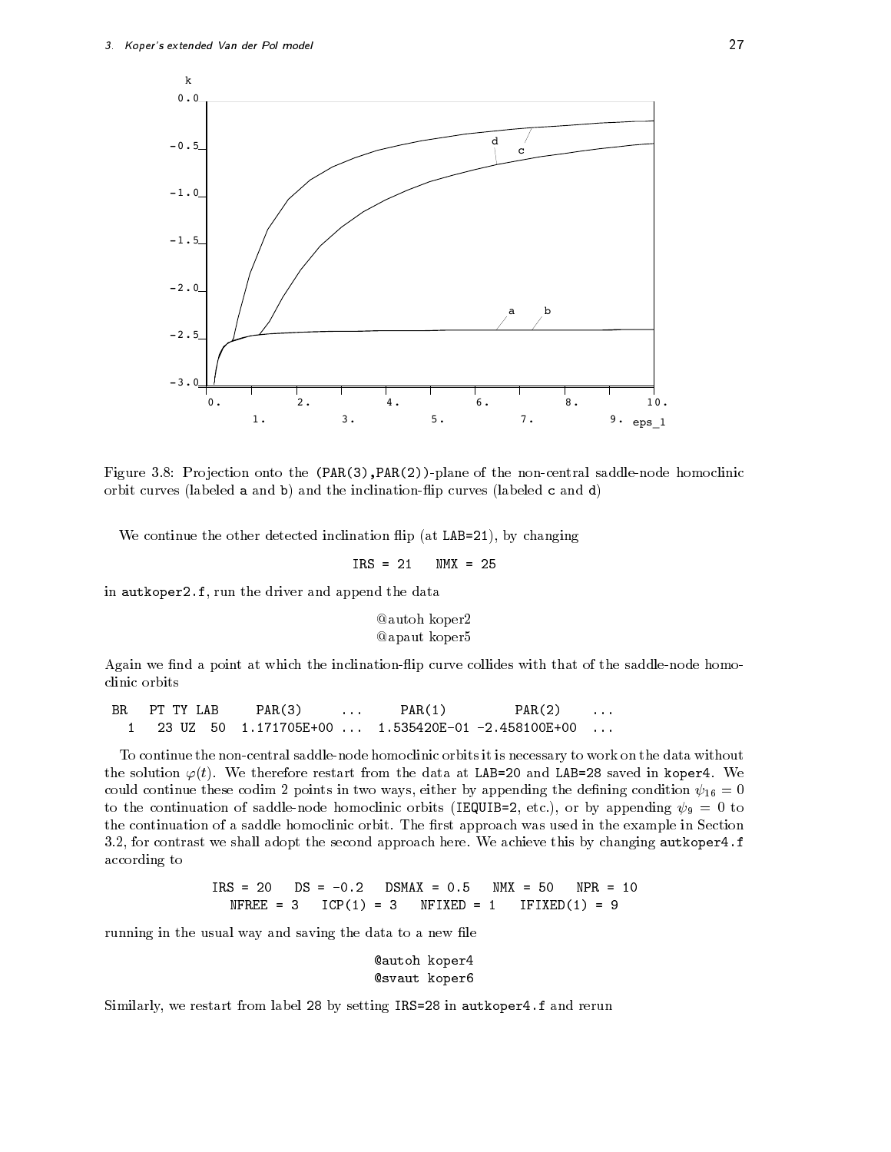![](_page_26_Figure_1.jpeg)

Figure Pro jection onto the PAR
PAR
plane of the noncentral saddlenode homoclinic orbit curves (labeled a and b) and the inclination-flip curves (labeled c and d)

where the other detected inclination  $\mathcal{L}$  at LAB  $\mathcal{L}$  at LAB  $\mathcal{L}$  at LAB  $\mathcal{L}$ 

$$
IRS = 21 \qquad \text{NMX} = 25
$$

in automatic control of the driver and append the driver and append the data development of the data development of the data development of the data development of the data development of the data development of the data d

#### @autoh koper2 **@apaut** koper5

Again we find a point at which the inclination-flip curve collides with that of the saddle-node homoclinic orbits

**BR** PT TY LAB PAR(3)  $PAR(1)$   $PAR(2)$  $\cdots$  $\ddotsc$ 

To continue the non-central saddle-node homoclinic orbits it is necessary to work on the data without  $\blacksquare$  we therefore restart from the data at LAB  $\blacksquare$ continue these continues continues and appending the dening condition  $\alpha$  appending condition  $\alpha$  $\alpha$  the continuum of saddlenode homoclinic orbits IEQUIB  $\alpha$  and  $\alpha$  appending  $\alpha$ the continuation of a saddle homoclinic orbit. The example in Section was used in the example in the example i for contrast we shall adopt the second approach here We achieve this by changing autkoper-f according to

> $IRS = 20$  $N$ MX = 50  $N$ FREE = 3  $ICP(1) = 3$  $NFIXED = 1$  $\blacksquare$

running in the usual way and saving the data to a new file

**@autoh koper4 @svaut** koper6

 $\sim$  . The restart from label  $\sim$  , setting IRS are the restart from  $\sim$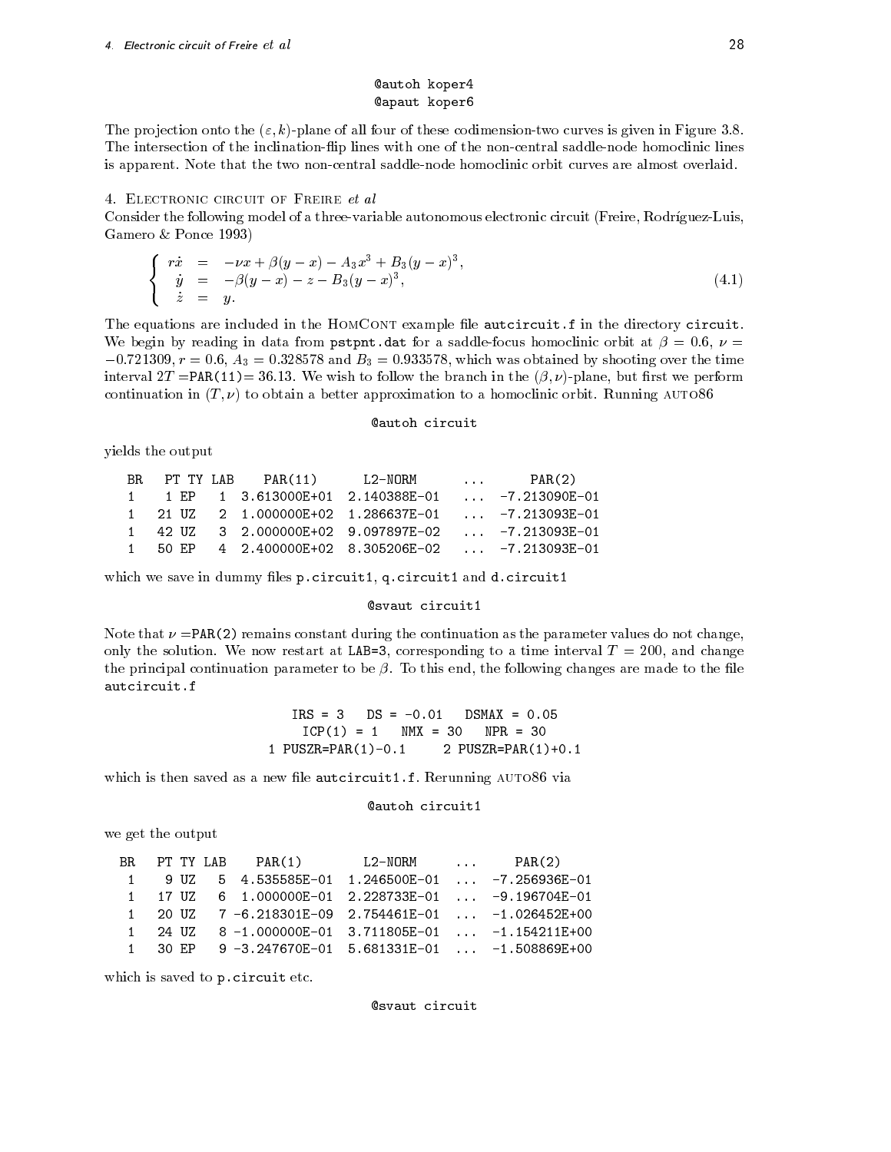#### **@autoh koper4** apaut koper

. The projection onto the property process is an extra codimensional curve is given in Figure . The The intersection of the inclination-flip lines with one of the non-central saddle-node homoclinic lines is apparent Note that the two noncentral saddlenode homoclinic orbit curves are almost overlaid

#### 4. ELECTRONIC CIRCUIT OF FREIRE et al

Consider the following model of a three-variable autonomous electronic circuit (Freire, Rodríguez-Luis, Gamero & Ponce 1993)

$$
\begin{cases}\n r\dot{x} &= -\nu x + \beta(y - x) - A_3 x^3 + B_3(y - x)^3, \\
 \dot{y} &= -\beta(y - x) - z - B_3(y - x)^3, \\
 \dot{z} &= y.\n\end{cases}
$$
\n(4.1)

The equations are included in the HomCont example le autcircuit-f in the directory circuit we begin by reading in data from pstpnt-data for a saddlefocus homoclinic orbit at  $\mu$  . And it  $-0.721309$ ,  $r = 0.6$ ,  $A_3 = 0.328578$  and  $B_3 = 0.933578$ , which was obtained by shooting over the time interval T Party to follow the branch in the branch in the but  $\mu$  ,  $\mu$  performance but respectively the performance of  $\mu$ continuation in T to obtain a better approximation to a homoclinic orbit Running auto-

#### autoh circuit

yields the output

|  |  | BR PT-TY-LAB PAR(11) L2-NORM  PAR(2) |                                                                |  |
|--|--|--------------------------------------|----------------------------------------------------------------|--|
|  |  |                                      | 1 1 EP  1 3.613000E+01 2.140388E-01  -7.213090E-01             |  |
|  |  |                                      | 1   21   UZ   2   1.000000E+02   1.286637E-01    -7.213093E-01 |  |
|  |  |                                      | 1 42 UZ 3 2.000000E+02 9.097897E-02  -7.213093E-01             |  |
|  |  |                                      | 1 50 EP  4  2.400000E+02  8.305206E-02   -7.213093E-01         |  |

which we say the dimming lessed p-t-file that they have the d-t-file that the the

#### **@svaut circuit1**

Note that  $\nu$  =PAR(2) remains constant during the continuation as the parameter values do not change, only the solution We now restart at LAB corresponding to a time interval T and change the principal continuation parameter to be To this end the following changes are made to the le autcircuit.f

> $IRS = 3$ ICP NMX NPR PUSZR PAR
> - PUSZR PAR
> -

which is the saved as a new letter and the same contract and  $\eta$  are the same contracted as a new letter and  $\eta$ 

```
@autoh circuit1
```
we get the output

|  |  | BR PT TYLAB PAR(1) L2-NORM  PAR(2)                                |  |  |
|--|--|-------------------------------------------------------------------|--|--|
|  |  | $1$ 9 UZ 5 4.535585E-01 1.246500E-01  -7.256936E-01               |  |  |
|  |  | $1$ 17 UZ 6 1.000000E-01 2.228733E-01  -9.196704E-01              |  |  |
|  |  | 1 20 UZ $7 - 6.218301E - 09$ 2.754461E-01 $-1.026452E + 00$       |  |  |
|  |  | 1   24   UZ   8   -1.000000E-01   3.711805E-01      -1.154211E+00 |  |  |
|  |  | $1$ 30 EP 9 -3.247670E-01 5.681331E-01  -1.508869E+00             |  |  |

which is saved to p-reduce the p-reduced to p-reduced to p-reduced to p-reduced to p-reduced to p-reduced to p

**@svaut** circuit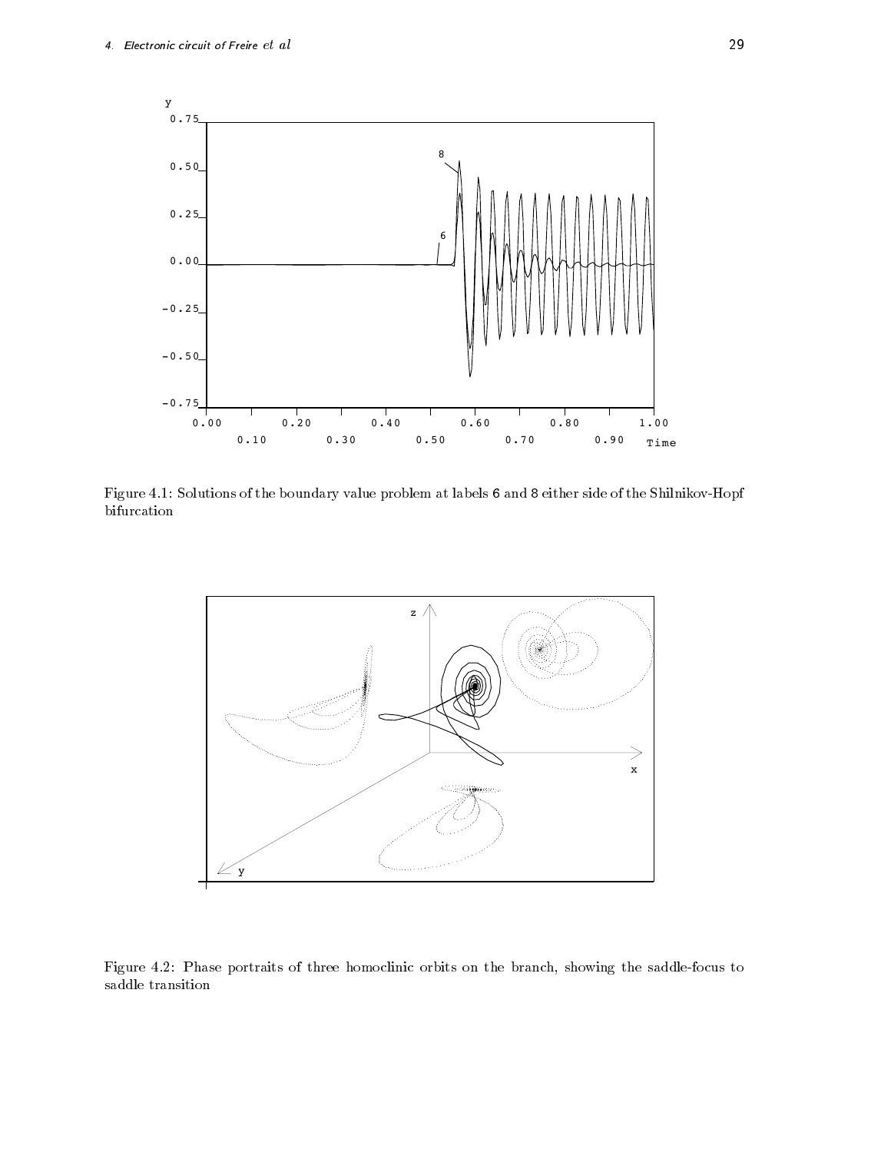![](_page_28_Figure_1.jpeg)

Figure - Solutions of the boundary value problem at labels and either side of the ShilnikovHopf bifurcation

![](_page_28_Figure_3.jpeg)

Figure - Phase portraits of three homoclinic orbits on the branch showing the saddlefocus to saddle transition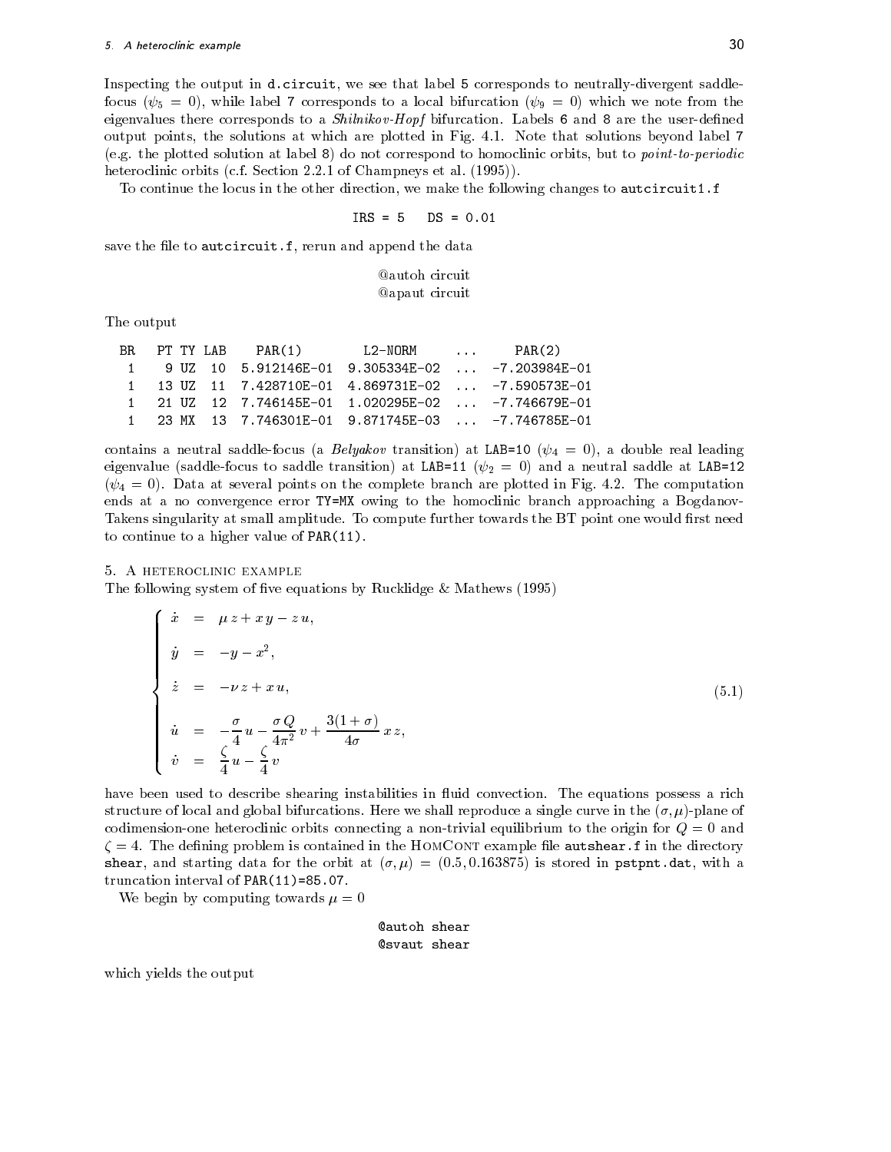Inspecting the output in d-circuit we see that label corresponds to neutrallydivergent saddle focus  $\{f_{ij},\ldots,j\}$  , which is a local bifurcation of the from the second second  $\{f_{ij},\ldots,j\}$  , which we note from the from the from the second second second second second second second second second second second seco eigenvalues there corresponds to a Shillikovic Mopf bifurcation measure that the user the user the user  $\sim$ output points the solutions at which are plotted in Fig. , which are plotted in Fig. , which are plotted in Fig. es the plotted solution at label  $\mathbf{r}$  at label  $\mathbf{r}$  at label to point to point to point to point to point to point to point to point to point to point to point to point the point of the point of the point of the p heteroclinic orbits control orbits control orbits control orbits control orbits control orbits control orbits c

To continue the locus in the other direction, we make the following changes to **autcircuit1.f** 

$$
IRS = 5 \qquad DS = 0.01
$$

save the le to automatique the le to automatique the data design and append the data development of the data d

### **Qautoh** circuit **@apaut** circuit

The output

|  | BR PT TYLAB PAR(1)                                              | $L2-NORM$ | PAR(2) |
|--|-----------------------------------------------------------------|-----------|--------|
|  | 1 9 UZ 10 5.912146E-01 9.305334E-02  -7.203984E-01              |           |        |
|  | 1   13   UZ   11   7.428710E-01   4.869731E-02    -7.590573E-01 |           |        |
|  | 1   21   UZ   12   7.746145E-01   1.020295E-02    -7.746679E-01 |           |        |
|  | 1 23 MX 13 7.746301E-01 9.871745E-03  -7.746785E-01             |           |        |

 $\vee$  and  $\vee$  and  $\vee$  transition at LAB  $\vee$  at LAB  $\vee$  at LAB  $\vee$  at LAB  $\vee$  and  $\vee$ eigenvalue saddlefocus to saddle transition at LAB - and <sup>a</sup> neutral saddle at LAB  -- Data at several points on the complete branch are plotted in Fig - The computation ends at a no convergence error Typers to the homogeneer approaching a Bogdanov approaching a Bogdanov to the h Takens singularity at small amplitude To compute further towards the BT point one would rst need to continue to a higher value of PAR

#### A heteroclinic example

The following system of five equations by Rucklidge  $&$  Mathews (1995)

$$
\begin{cases}\n\dot{x} = \mu z + x y - z u, \\
\dot{y} = -y - x^2, \\
\dot{z} = -\nu z + x u, \\
\dot{u} = -\frac{\sigma}{4} u - \frac{\sigma Q}{4\pi^2} v + \frac{3(1+\sigma)}{4\sigma} x z, \\
\dot{v} = \frac{\zeta}{4} u - \frac{\zeta}{4} v\n\end{cases}
$$
\n(5.1)

have been used to describe shearing instabilities in uid convection The equations possess a rich structure of local and global bifurcations Here we shall reproduce a single curve in the plane of codimension-one heteroclinic orbits connecting a non-trivial equilibrium to the origin for  $Q = 0$  and  $\blacksquare$ sheart and starting data for the orbit at  $\{1,1,1\}$  . Therefore in provided in pstpnt-theory with a truncation is a continued of Party (Party and Party in

We begin by computing towards  $\mu = 0$ 

```
autoh shear
@svaut shear
```
which yields the output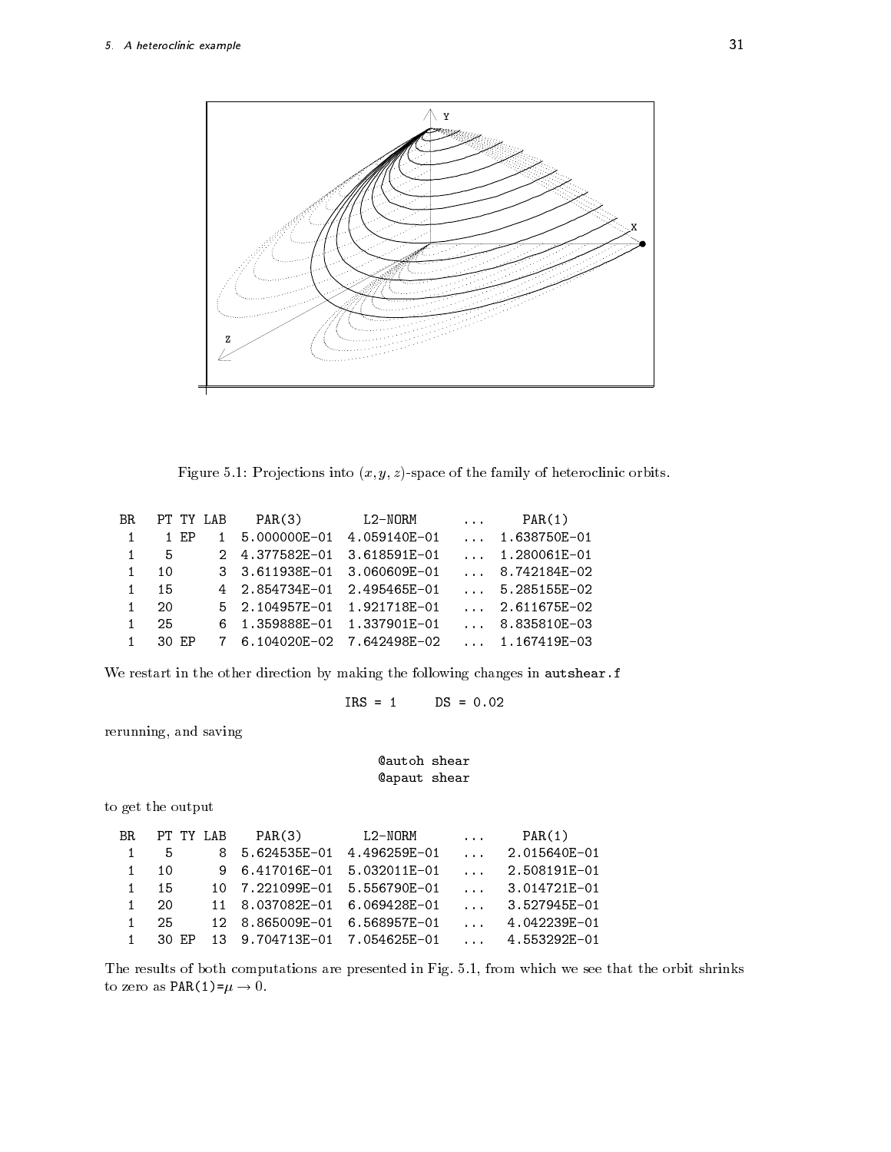![](_page_30_Figure_1.jpeg)

Figure Pro jections into x y zspace of the family of heteroclinic orbits

| $\ldots$ 1.638750E-01                                          |
|----------------------------------------------------------------|
|                                                                |
|                                                                |
| 8.742184E-02                                                   |
| $\ldots$ 5.285155E-02                                          |
| $\ldots$ 2.611675E-02                                          |
|                                                                |
|                                                                |
| $\ldots$ 1.280061E-01<br>8.835810E-03<br>$\ldots$ 1.167419E-03 |

we restart in the other direction by making the following changes in automatic changes in automatic changes in

$$
IRS = 1 \t DS = 0.02
$$

rerunning, and saving

### autoh shear apaut shear

to get the output

| BR. | PT TY LAB |     | PAR(3)                       | L2-NORM      | $\cdots$                        | PAR(1)       |
|-----|-----------|-----|------------------------------|--------------|---------------------------------|--------------|
|     | 5         |     | 8 5.624535E-01 4.496259E-01  |              | $\cdots$                        | 2.015640E-01 |
|     | 10        |     | 9 6.417016E-01               | 5.032011E-01 | $\mathbf{1}$                    | 2.508191E-01 |
|     | 15        | 10. | 7.221099E-01 5.556790E-01    |              | $\mathbf{1}$ , and $\mathbf{1}$ | 3.014721E-01 |
|     | 20        |     | 11 8.037082E-01              | 6.069428E-01 | $\mathbf{1}$                    | 3.527945E-01 |
|     | 25        |     | 12 8.865009E-01 6.568957E-01 |              | $\mathbf{1}$ and $\mathbf{1}$   | 4.042239E-01 |
|     | 30 EP     |     | 13 9.704713E-01 7.054625E-01 |              | $\mathbf{r}$                    | 4.553292E-01 |

The results of both computations are presented in Fig from which we see that the orbit shrinks to zero as  $\text{PAR}(1) = \mu \rightarrow 0$ .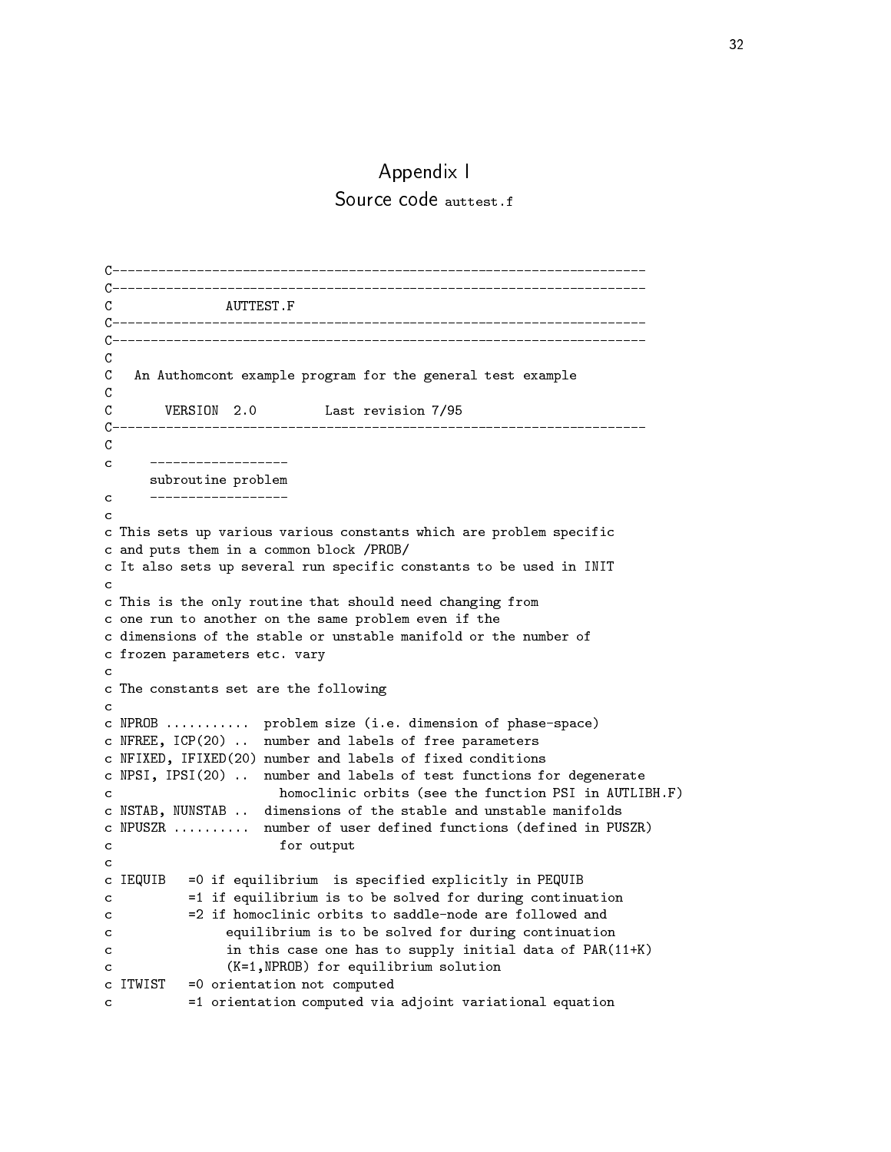### Appendix I Source code auttest.f

```
\mathcal{C}\mathcal{C}_{\mathcal{C}}\mathcal{C}An Authomcont example program for the general test example
\mathcal{C}_{\mathcal{C}}\mathbf Cconstruction in the construction of the construction of the construction of the construction of the construction of
\mathcal{C}___________________
\epsilonsubroutine problem
\mathcal{C}- - -\mathcal{C}c This sets up various various constants which are problem specific
c and puts them in a common block PROB
c It also sets up several run specific constants to be used in INIT
\mathcal{C}c This is the only routine that should need changing from
c one run to another on the same problem even if the
c dimensions of the stable or unstable manifold or the number of
c frozen parameters etc-
 vary
\mathcal{C}c The constants set are the following
\mathbf{C}c NPROB -
-
-
-
-
-
-
-
-
-
-
 problem size 
i-
e-
 dimension of phasespace
ch near in the labels of free parameters of free parameters of free parameters of free parameters of free para
c NFIXED, IFIXED(20) number and labels of fixed conditions
c APSI, corresponding to the labels of the contractions for and contracts the second contract of the second co
see the function parameter is the function \mathcal{A} in Automobility in Automobility in Automobility
. Assum, attribute and unstable and unstable manifolds manifolds and unstable manifolds of the stable manifolds
c NPUSZR -
-
-
-
-
-
-
-
-
-
 number of user defined functions 
defined in PUSZR
c for output
c
c IEQUIB is specified explicitly in PEQUIE in PEQUIP is specified explicitly in PEQUIP in PEQUIP in PEQUIP in
c if equilibrium is to be solved for during continuation in the solved for during continuation of the solved for
           =2 if homoclinic orbits to saddle-node are followed and
                  equilibrium is to be solved for during continuation
\mathbf{C}in this case one has to supply initial data of PAR(11+K)
\mathbf{c}\mathbf{C}c in the contract of the contract of the contract of the contract of the contract of the contract of the contract of
c ITWIST 
 orientation not computed
\mathbf{C}c and computed via adjoint variation computed via adjoint variation of the computed variation
```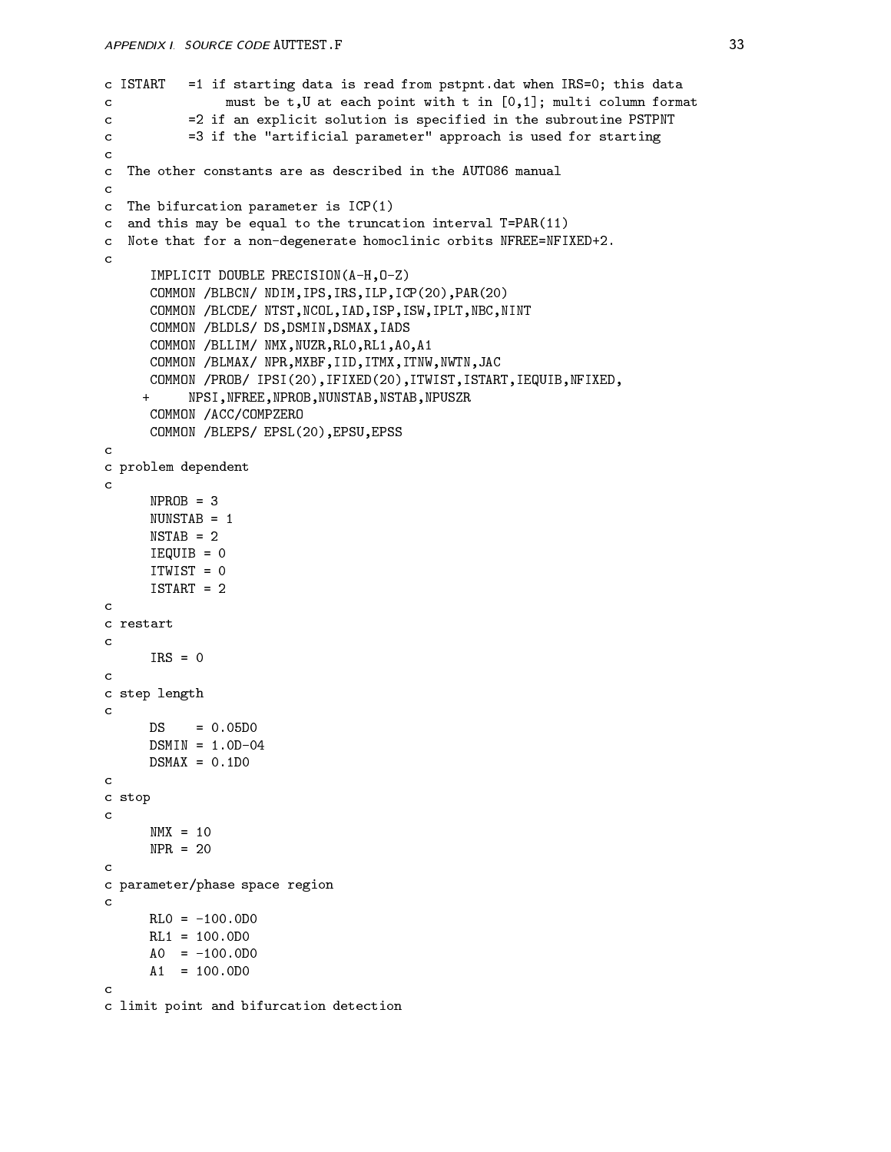```
c is read to a starting data is read from pstpliters define the this data \simmust be t, U at each point with t in [0,1]; multi column format
\mathbf{r}. The second compliance is specified in the substantial solution is specified in the sub-
\mathcal{C}c if the artificial parameter approach is used for starting for starting for starting for starting for starting
c The other constants are as described in the AUT086 manual
\mathcal{C}c The bifurcation parameter is ICP(1)c and this may be equal to the truncation interval to this (--)
c nice that for a non-nightedit nime that for a nonde modern to
\mathcal{C}IMPLICIT DOUBLE PRECISION (A-H, 0-Z)
       COMMON /BLBCN/ NDIM, IPS, IRS, ILP, ICP(20), PAR(20)
       COMMON /BLCDE/ NTST, NCOL, IAD, ISP, ISW, IPLT, NBC, NINT
       COMMON /BLDLS/ DS, DSMIN, DSMAX, IADS
       COMMON /BLLIM/ NMX, NUZR, RLO, RL1, AO, A1
       COMMON /BLMAX/ NPR, MXBF, IID, ITMX, ITNW, NWTN, JAC
       COMMON / PROB/ IPSI(20), IFIXED(20), ITWIST, ISTART, IEQUIB, NFIXED,
              NPSI, NFREE, NPROB, NUNSTAB, NSTAB, NPUSZR
      \pmCOMMON / ACC/COMPZERO
       COMMON /BLEPS/ EPSL(20), EPSU, EPSS
c problem dependent
\mathcal{C}IEQUIDE DE CONTRADICTO DE CONTRADICTO DE CONTRADICTO DE CONTRADICTO DE CONTRADICTO DE CONTRADICTO DE CONTRADICTO DE CONTRADICTO DE CONTRADICTO DE CONTRADICTO DE CONTRADICTO DE CONTRADICTO DE CONTRADICTO DE CONTRADICTO DE C
       ITWIST 
       ISTART 
c
c restart
\mathbf{C}IRS = 0c step length
\mathbf{c}DS
c stop
\mathbf{c}NPR = 20c parameter/phase space region
\mathbf{C}A1 = 100.000\mathcal{C}c limit point and bifurcation detection
```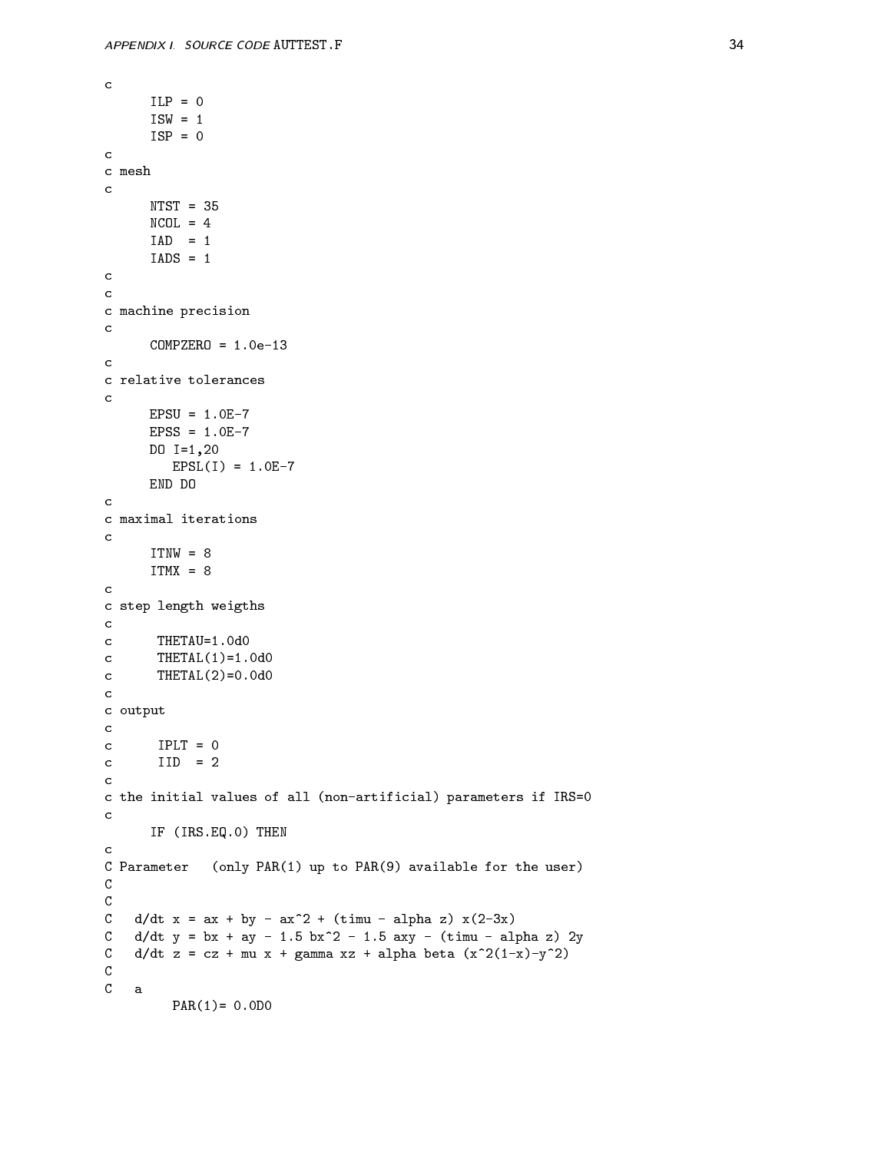```
ISW = 1ISP = 0c mesh
\mathbf{C}c
c
c machine precision
\mathbf{C}c relative tolerances
\mathbf{c}dia ang pag-araw na araw na araw na araw na araw na araw na araw na araw na araw na araw na araw na araw na ar
                     EPSLE I START START START START START START START START START START START START START START START START START
             END DO
c
c maximal iterations
c
c
c step length weigths
- contract the second contract of the second contract of the second contract of the second contract of the second contract of the second contract of the second contract of the second contract of the second contract of the 
the theoretical contracts of the contracts of the contracts of the contracts of the contracts of the contracts
c output
c IPLT = 0
               IID = 2\mathbf{C}c the initial values of all \rho in the interactions, parameters if IRS is a set of \rhoc
              IF IRST IRS-IN THE PARTIES IN THE REAL PROPERTY OF THE PARTIES OF THE PARTIES OF THE PARTIES OF THE PARTIES OF
C Parameter (only PAR(1) up to PAR(9) available for the user)
\mathsf{C}C
\mathsf{C}\alpha , and a contract the contract of \alpha and \alpha are contracted to \alpha and \alpha and \alpha and \alpha and \alpha. By an order the second of the second the second of the second second and the second second and the second second second second second second second second second second second second second second second second second sec
C ddt z 
 cz  mu x  gamma xz  alpha beta 
x
xy
\mathsf{C}\mathbf CPAR

 -
D
```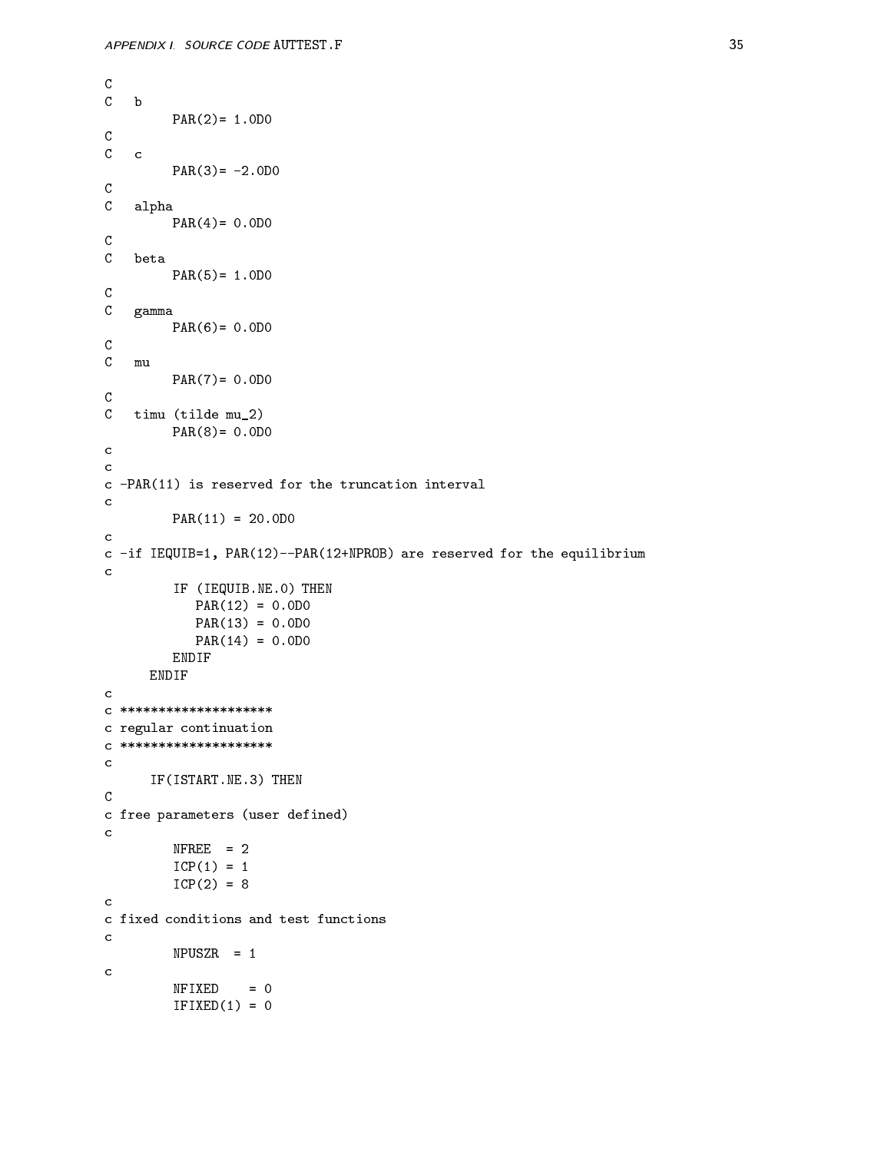```
\mathsf{C}b b
                       PAR

 -
D
                       n bahasa tahun 1980, sebagai kecamatan ing kabupaten di kacamatan di kacamatan di kacamatan di kacamatan di ka
\mathsf{C}C alpha
                       PAR

 -
D
C
C beta
                       particularly be a particular to the contract of the contract of the contract of the contract of the contract of
C gamma
                       extends the contract of the contract of the contract of the contract of the contract of the contract of the contract of the contract of the contract of the contract of the contract of the contract of the contract of the co
C
         mu
                       PAR

 -
D
\mathcal{C}C timu (tilde mu_2)
                       particularly be a particular to the contract of the contract of the contract of the contract of the contract of
c
c -PAR(11) is reserved for the truncation interval
c
                       PAR

 -
D
c
 . A second is a finite form of the extension of the equipment of the equipment of \mathcal{L}_\mathbf{p}c
                       IF 
IEQUIB-
NE-
 THEN
                              en and the state of the state of the state of the state of the state of the state of the state of the state of
                              extends the contract of the contract of the contract of the contract of the contract of the contract of the contract of the contract of the contract of the contract of the contract of the contract of the contract of the co
                              PAR

 -
D
                      ENDIF
              ENDIF
C *********************
c regular continuation
C ********************
c
               IS A REPORT OF THE PROPERTY AND INTERNATIONAL PROPERTY OF THE PARTY OF THE PARTY OF THE PARTY OF THE PARTY OF
\mathtt{C}c free parameters 
user defined
c
                       ————————————————————
                       ICP In the contract of the contract of the contract of the contract of the contract of the contract of the contract of the contract of the contract of the contract of the contract of the contract of the contract of the con
c
c fixed conditions and test functions
c
                      NFIXED = 0
                      IFIXED(1) = 0
```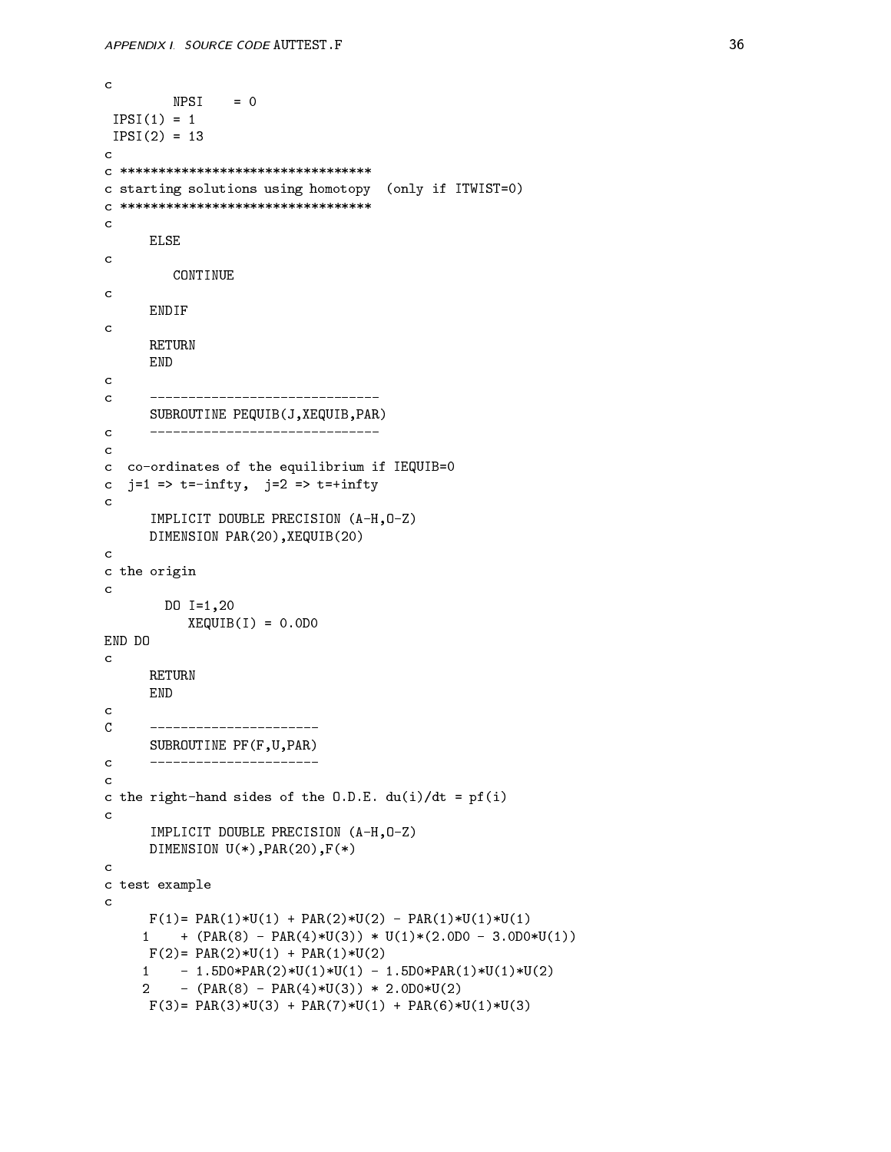```
NPSI = 0IPSI(1) = 1IPSI III SAN ANG INA ANG INA ANG INA ANG INA Ang inang pag-agamatan na ang inang pag-agamatan na ang inang pag-
c
C *********************************
c starting solutions using the solutions using the solutions of the solutions of the solutions of the solution
C *********************************
c
        ELSE
c
           CONTINUE
        ENDIF
c
        RETURN
        END
        _________________________________
\mathbf{C}SUBROUTINE PEQUIB(J, XEQUIB, PAR)
c coordinates of the equilibrium if IEQUIBRIUM if IEQUIBRIUM if IEQUIBRIUM if IEQUIBRIUM if IEQUIBRIUM if IEQU
\mathbf{C}is the contract of the contract of the contract of the contract of the contract of the contract of the contract of the contract of the contract of the contract of the contract of the contract of the contract of the contra
c
        IMPLICIT DOUBLE PRECISION (A-H, 0-Z)
        DIMENSION PAR(20), XEQUIB(20)
c
c the origin
\mathcal{C}DO I

               XEQUIB
I 
 -
D
END DO
        RETURN
        END
\mathcal{C}SUBROUTINE PF (F, U, PAR)
\mathbf{C}-------------------
c the right hand sides to the core the O-, and \{ - \}c
        IMPLICIT DOUBLE PRECISION (A-H, 0-Z)
        DIMENSION U(*), PAR(20), F(*)c
c test example
c
        F

 PAR
U
  PAR
U
  PAR
U
U

       - Party Party Party Party Party (Prince Party Party)
        F

 PAR
U
  PAR
U

         -
DPAR
U
U
  -
DPAR
U
U

       2^{\circ}e dia 1992 - Party Party and Parties and Party and Party and Party and Party and Party and Party and Party and
        - \-/ -----\-/ - \-/ ------\-/ - \-/ -------\-/ - \-/ - \-/
```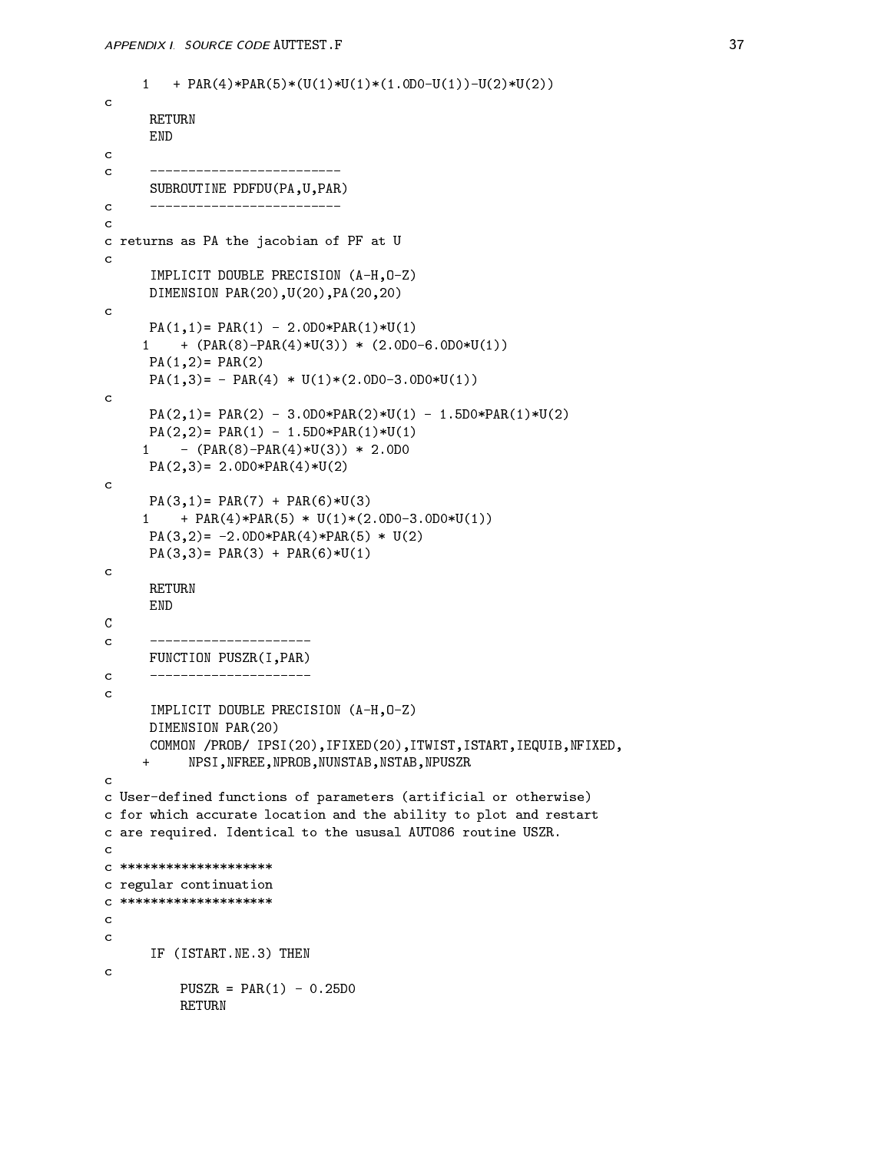```
- Party - Party - Party - Party - Party - Party - Party - Party - Party - Party - Party - Party - Party - Party
\mathcal{C}RETURN
        END
\mathbf{C}SUBROUTINE PDFDU (PA, U, PAR)
\mathcal{C}c returns as PA the jacobian of PF at U
        IMPLICIT DOUBLE PRECISION (A-H, 0-Z)
        DIMENSION PAR(20), U(20), PA(20, 20)c
        PA

 PAR
  -
DPAR
U

       en de la partie de la partie de la partie de la partie de la partie de la partie de la partie de la partie de
        PA

 PAR

        PA

  PAR
  U

-
D-
DU

\mathbf{c}PA

 PAR
  -
DPAR
U
  -
DPAR
U

        end and the state of the state of the state of the state of the state of the state of the state of the state o
       en and the state of the state of the state of the state of the state of the state of the state of the state of
        reduced the contract of the contract of the contract of the contract of the contract of the contract of the contract of the contract of the contract of the contract of the contract of the contract of the contract of the co
\mathbf{c}PA

 PAR
  PAR
U

       e believen in de la partie de la partie de la partie de la partie de la partie de la partie de la partie de la
        PA

 -
DPAR
PAR
  U

        PA

 PAR
  PAR
U

c
\mathsf{C}----------------------
        FUNCTION PUSZR(I, PAR)
        ______________________
\mathcal{C}IMPLICIT DOUBLE PRECISION (A-H, 0-Z)
       DIMENSION PAR(20)
        COMMON / PROB/ IPSI(20), IFIXED(20), ITWIST, ISTART, IEQUIB, NFIXED,
               NPSI, NFREE, NPROB, NUNSTAB, NSTAB, NPUSZR
      +c Userdefined functions of parameters 
artificial or otherwise
c for which accurate location and the ability to plot and restart
c are required compared to the usual to the usual to the usu
\mathcal{C}C *********************
c regular continuation
C *********************
\mathbf{c}IST (ISTART-IST) - ISTART-IST (IST) - ISTART-IST (IST) - ISTART-IST (IST) - ISTART-IST (IST) - ISTART-IST (IST
\mathbf{C}PUSZR 
 PAR
  -
D
              RETURN
```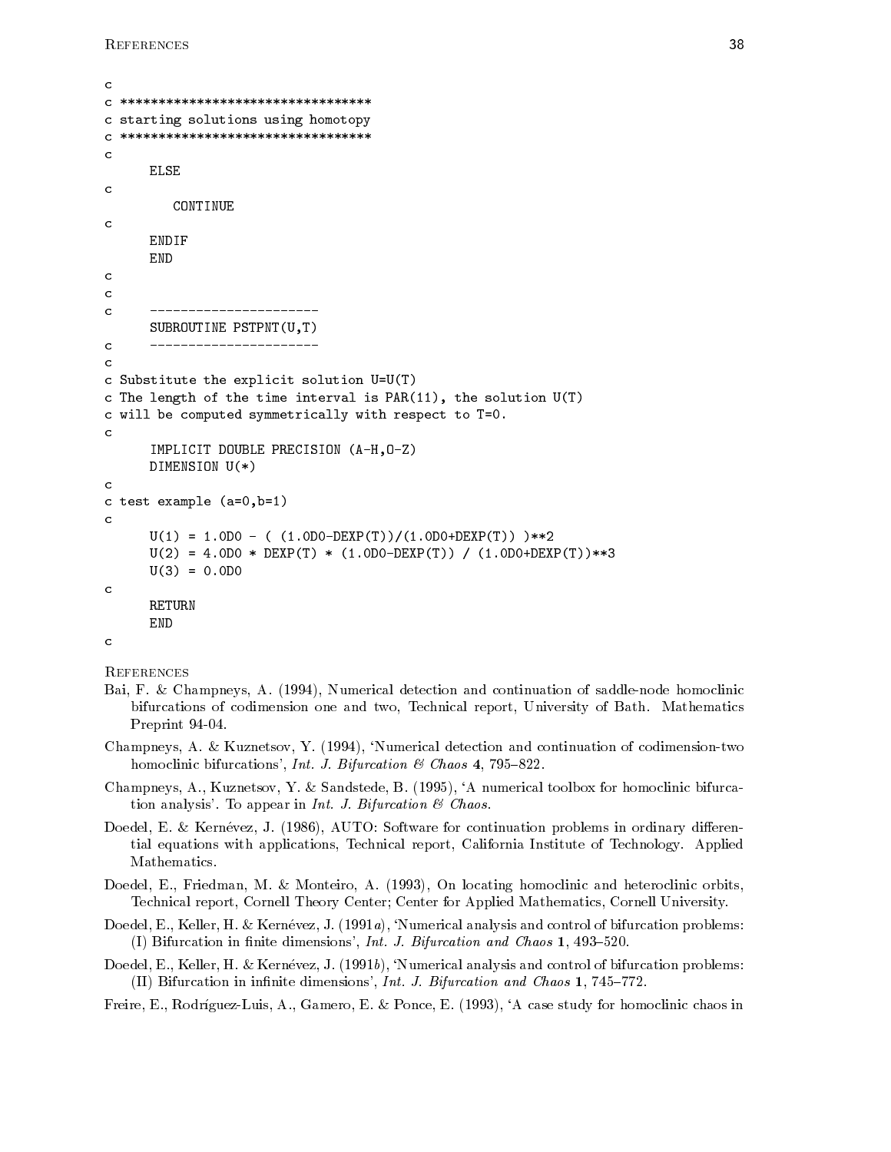```
\mathcal{C}C **********************************
c starting solutions using homotopy
C **********************************
\mathbf cELSE
\mathbf{c}CONTINUE
      ENDIF
      END
\mathbf C\overline{c}----------------------
       SUBROUTION E PSTPNT(U, T)\mathbf{C}c substitute the explicit solution of \{0, 1\}c The length of the time interval is PAR(11), the solution U(T)c will be computed symmetrically with respect to TV and the computed symmetrically with respect to TV and the 
\mathbf cIMPLICIT DOUBLE PRECISION (A-H, 0-Z)
      DIMENSION U(*)\mathbf{c}c the complete \lambda and \lambda and \lambdaU

 -
D  

-
DDEXP
T
-
DDEXP
T 
       U
 
 -
D  DEXP
T  
-
DDEXP
T  
-
DDEXP
T
       U

 -
D
\mathcal{C}RETURN
      END
```

```
c<br>References
```
- Bai F Champneys A - Numerical detection and continuation of saddlenode homoclinic bifurcations of codimension one and two Technical report University of Bath Mathematics representation of the contract of the contract of the contract of the contract of the contract of the contract
- $\blacksquare$  Numerical detection and continuation and continuation and continuation of continuation of continuation of co homoclinic bifurcations International and June 1, and June 1, and June 1, and June 1, and June 1, and June 1, a
- randstede Bartham and the Sandstede Bartham and the second to the second to the complete state of the second co  $\ldots$  . To appear in Internal  $\ldots$  in Internal  $\ldots$  in Internal  $\ldots$
- Doedel E Kernevez J  AUTO Software for continuation problems in ordinary dieren tial equations with applications Technical report California Institute of Technology Applied Mathematics.
- Doedel E Friedman M Monteiro A  On locating homoclinic and heteroclinic orbits Technical report, Cornell Theory Center; Center for Applied Mathematics, Cornell University.
- Doedel E Keller H Kernevez J a Numerical analysis and control of bifurcation problems I Bifurcation in the dimensional dimensions International Chaos - International Chaos - International Chaos -
- Doedel E Keller H Kernevez J b Numerical analysis and control of bifurcation problems I Bifurcation in interest and Chaos and Chaos in the United States of States - International Chaos - Internatio

 $\mathcal{A}$  and  $\mathcal{A}$  are the form of the form of the case study for homoclinic chaos in the case of the case of the case of the case of the case of the case of the case of the case of the case of the case of the case of